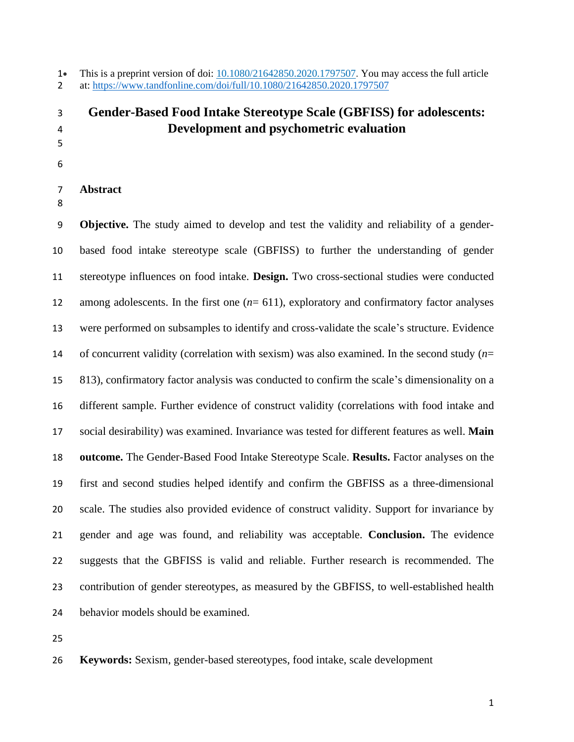• This is a preprint version of doi: [10.1080/21642850.2020.1797507.](https://doi.org/10.1080/21642850.2020.1797507) You may access the full article at: <https://www.tandfonline.com/doi/full/10.1080/21642850.2020.1797507>

# **Gender-Based Food Intake Stereotype Scale (GBFISS) for adolescents: Development and psychometric evaluation**

 

**Abstract**

 **Objective.** The study aimed to develop and test the validity and reliability of a gender- based food intake stereotype scale (GBFISS) to further the understanding of gender stereotype influences on food intake. **Design.** Two cross-sectional studies were conducted among adolescents. In the first one (*n*= 611), exploratory and confirmatory factor analyses were performed on subsamples to identify and cross-validate the scale's structure. Evidence of concurrent validity (correlation with sexism) was also examined. In the second study (*n*= 813), confirmatory factor analysis was conducted to confirm the scale's dimensionality on a different sample. Further evidence of construct validity (correlations with food intake and social desirability) was examined. Invariance was tested for different features as well. **Main outcome.** The Gender-Based Food Intake Stereotype Scale. **Results.** Factor analyses on the first and second studies helped identify and confirm the GBFISS as a three-dimensional scale. The studies also provided evidence of construct validity. Support for invariance by gender and age was found, and reliability was acceptable. **Conclusion.** The evidence suggests that the GBFISS is valid and reliable. Further research is recommended. The contribution of gender stereotypes, as measured by the GBFISS, to well-established health behavior models should be examined.

**Keywords:** Sexism, gender-based stereotypes, food intake, scale development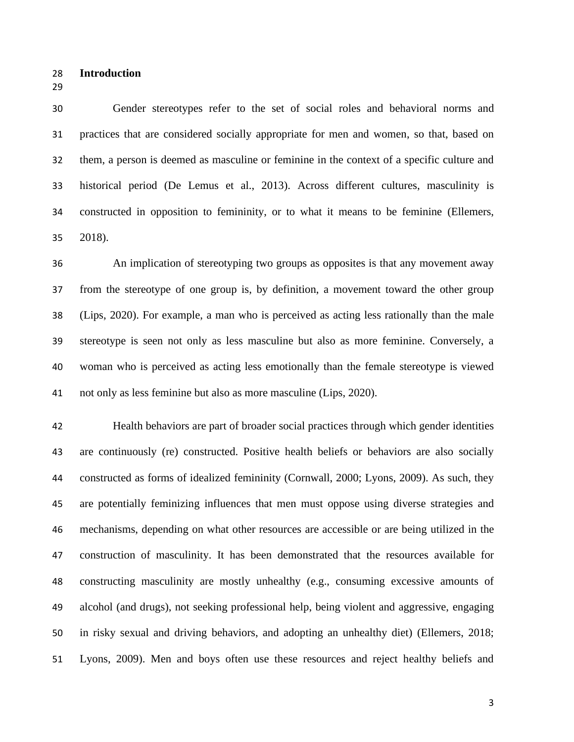- **Introduction**
- 

 Gender stereotypes refer to the set of social roles and behavioral norms and practices that are considered socially appropriate for men and women, so that, based on them, a person is deemed as masculine or feminine in the context of a specific culture and historical period (De Lemus et al., 2013). Across different cultures, masculinity is constructed in opposition to femininity, or to what it means to be feminine (Ellemers, 2018).

 An implication of stereotyping two groups as opposites is that any movement away from the stereotype of one group is, by definition, a movement toward the other group (Lips, 2020). For example, a man who is perceived as acting less rationally than the male stereotype is seen not only as less masculine but also as more feminine. Conversely, a woman who is perceived as acting less emotionally than the female stereotype is viewed not only as less feminine but also as more masculine (Lips, 2020).

 Health behaviors are part of broader social practices through which gender identities are continuously (re) constructed. Positive health beliefs or behaviors are also socially constructed as forms of idealized femininity (Cornwall, 2000; Lyons, 2009). As such, they are potentially feminizing influences that men must oppose using diverse strategies and mechanisms, depending on what other resources are accessible or are being utilized in the construction of masculinity. It has been demonstrated that the resources available for constructing masculinity are mostly unhealthy (e.g., consuming excessive amounts of alcohol (and drugs), not seeking professional help, being violent and aggressive, engaging in risky sexual and driving behaviors, and adopting an unhealthy diet) (Ellemers, 2018; Lyons, 2009). Men and boys often use these resources and reject healthy beliefs and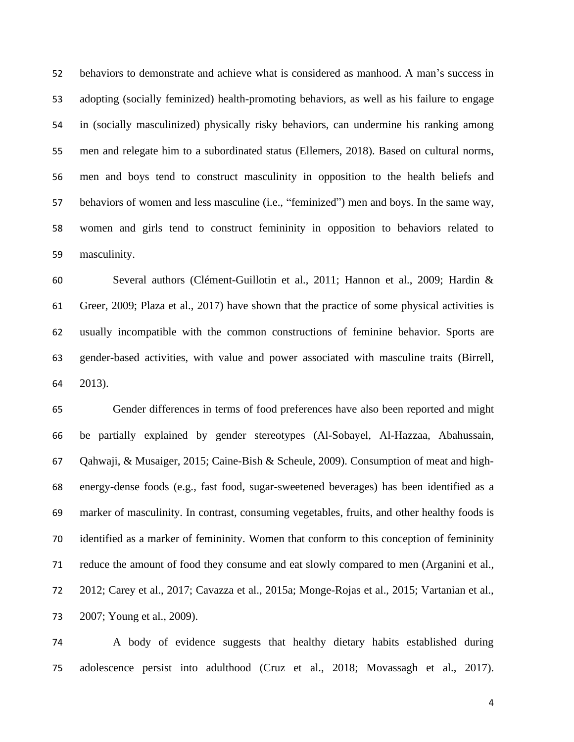behaviors to demonstrate and achieve what is considered as manhood. A man's success in adopting (socially feminized) health-promoting behaviors, as well as his failure to engage in (socially masculinized) physically risky behaviors, can undermine his ranking among men and relegate him to a subordinated status (Ellemers, 2018). Based on cultural norms, men and boys tend to construct masculinity in opposition to the health beliefs and behaviors of women and less masculine (i.e., "feminized") men and boys. In the same way, women and girls tend to construct femininity in opposition to behaviors related to masculinity.

 Several authors (Clément-Guillotin et al., 2011; Hannon et al., 2009; Hardin & Greer, 2009; Plaza et al., 2017) have shown that the practice of some physical activities is usually incompatible with the common constructions of feminine behavior. Sports are gender-based activities, with value and power associated with masculine traits (Birrell, 2013).

 Gender differences in terms of food preferences have also been reported and might be partially explained by gender stereotypes (Al-Sobayel, Al-Hazzaa, Abahussain, Qahwaji, & Musaiger, 2015; Caine-Bish & Scheule, 2009). Consumption of meat and high- energy-dense foods (e.g., fast food, sugar-sweetened beverages) has been identified as a marker of masculinity. In contrast, consuming vegetables, fruits, and other healthy foods is identified as a marker of femininity. Women that conform to this conception of femininity reduce the amount of food they consume and eat slowly compared to men (Arganini et al., 2012; Carey et al., 2017; Cavazza et al., 2015a; Monge-Rojas et al., 2015; Vartanian et al., 2007; Young et al., 2009).

 A body of evidence suggests that healthy dietary habits established during adolescence persist into adulthood (Cruz et al., 2018; Movassagh et al., 2017).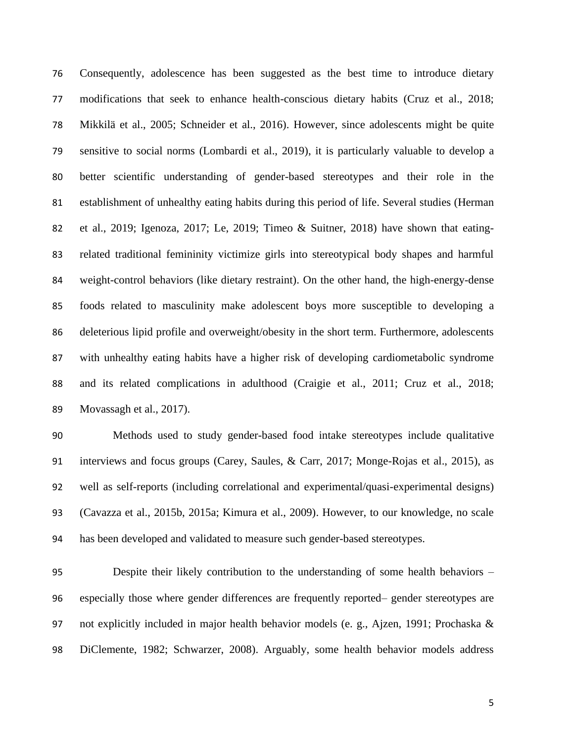Consequently, adolescence has been suggested as the best time to introduce dietary modifications that seek to enhance health-conscious dietary habits (Cruz et al., 2018; Mikkilä et al., 2005; Schneider et al., 2016). However, since adolescents might be quite sensitive to social norms (Lombardi et al., 2019), it is particularly valuable to develop a better scientific understanding of gender-based stereotypes and their role in the establishment of unhealthy eating habits during this period of life. Several studies (Herman et al., 2019; Igenoza, 2017; Le, 2019; Timeo & Suitner, 2018) have shown that eating- related traditional femininity victimize girls into stereotypical body shapes and harmful weight-control behaviors (like dietary restraint). On the other hand, the high-energy-dense foods related to masculinity make adolescent boys more susceptible to developing a deleterious lipid profile and overweight/obesity in the short term. Furthermore, adolescents with unhealthy eating habits have a higher risk of developing cardiometabolic syndrome and its related complications in adulthood (Craigie et al., 2011; Cruz et al., 2018; Movassagh et al., 2017).

 Methods used to study gender-based food intake stereotypes include qualitative interviews and focus groups (Carey, Saules, & Carr, 2017; Monge-Rojas et al., 2015), as well as self-reports (including correlational and experimental/quasi-experimental designs) (Cavazza et al., 2015b, 2015a; Kimura et al., 2009). However, to our knowledge, no scale has been developed and validated to measure such gender-based stereotypes.

 Despite their likely contribution to the understanding of some health behaviors – especially those where gender differences are frequently reported– gender stereotypes are not explicitly included in major health behavior models (e. g., Ajzen, 1991; Prochaska & DiClemente, 1982; Schwarzer, 2008). Arguably, some health behavior models address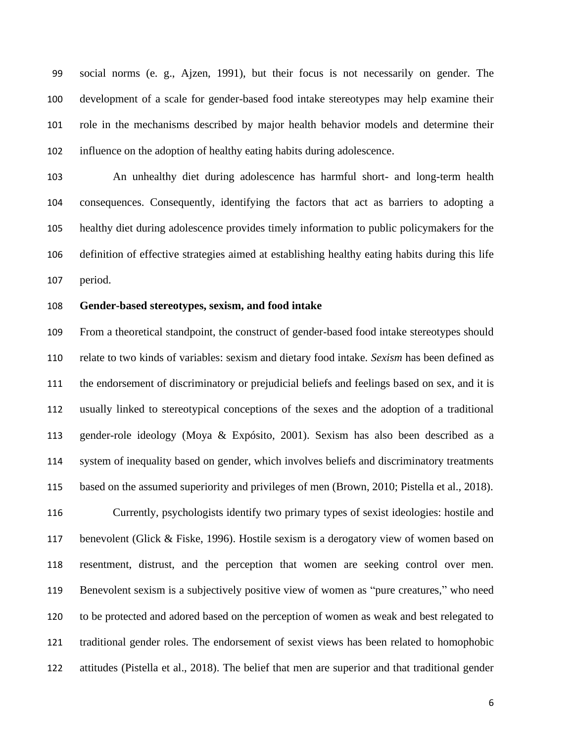social norms (e. g., Ajzen, 1991), but their focus is not necessarily on gender. The development of a scale for gender-based food intake stereotypes may help examine their role in the mechanisms described by major health behavior models and determine their influence on the adoption of healthy eating habits during adolescence.

 An unhealthy diet during adolescence has harmful short- and long-term health consequences. Consequently, identifying the factors that act as barriers to adopting a healthy diet during adolescence provides timely information to public policymakers for the definition of effective strategies aimed at establishing healthy eating habits during this life period.

## **Gender-based stereotypes, sexism, and food intake**

 From a theoretical standpoint, the construct of gender-based food intake stereotypes should relate to two kinds of variables: sexism and dietary food intake*. Sexism* has been defined as the endorsement of discriminatory or prejudicial beliefs and feelings based on sex, and it is usually linked to stereotypical conceptions of the sexes and the adoption of a traditional gender-role ideology (Moya & Expósito, 2001). Sexism has also been described as a system of inequality based on gender, which involves beliefs and discriminatory treatments based on the assumed superiority and privileges of men (Brown, 2010; Pistella et al., 2018).

 Currently, psychologists identify two primary types of sexist ideologies: hostile and benevolent (Glick & Fiske, 1996). Hostile sexism is a derogatory view of women based on resentment, distrust, and the perception that women are seeking control over men. Benevolent sexism is a subjectively positive view of women as "pure creatures," who need to be protected and adored based on the perception of women as weak and best relegated to traditional gender roles. The endorsement of sexist views has been related to homophobic attitudes (Pistella et al., 2018). The belief that men are superior and that traditional gender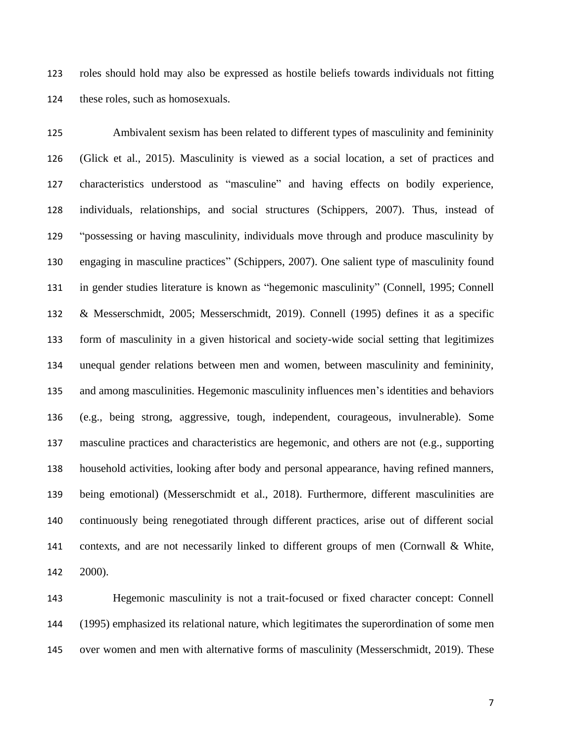roles should hold may also be expressed as hostile beliefs towards individuals not fitting these roles, such as homosexuals.

 Ambivalent sexism has been related to different types of masculinity and femininity (Glick et al., 2015). Masculinity is viewed as a social location, a set of practices and characteristics understood as "masculine" and having effects on bodily experience, individuals, relationships, and social structures (Schippers, 2007). Thus, instead of "possessing or having masculinity, individuals move through and produce masculinity by engaging in masculine practices" (Schippers, 2007). One salient type of masculinity found in gender studies literature is known as "hegemonic masculinity" (Connell, 1995; Connell & Messerschmidt, 2005; Messerschmidt, 2019). Connell (1995) defines it as a specific form of masculinity in a given historical and society-wide social setting that legitimizes unequal gender relations between men and women, between masculinity and femininity, and among masculinities. Hegemonic masculinity influences men's identities and behaviors (e.g., being strong, aggressive, tough, independent, courageous, invulnerable). Some masculine practices and characteristics are hegemonic, and others are not (e.g., supporting household activities, looking after body and personal appearance, having refined manners, being emotional) (Messerschmidt et al., 2018). Furthermore, different masculinities are continuously being renegotiated through different practices, arise out of different social contexts, and are not necessarily linked to different groups of men (Cornwall & White, 2000).

 Hegemonic masculinity is not a trait-focused or fixed character concept: Connell (1995) emphasized its relational nature, which legitimates the superordination of some men over women and men with alternative forms of masculinity (Messerschmidt, 2019). These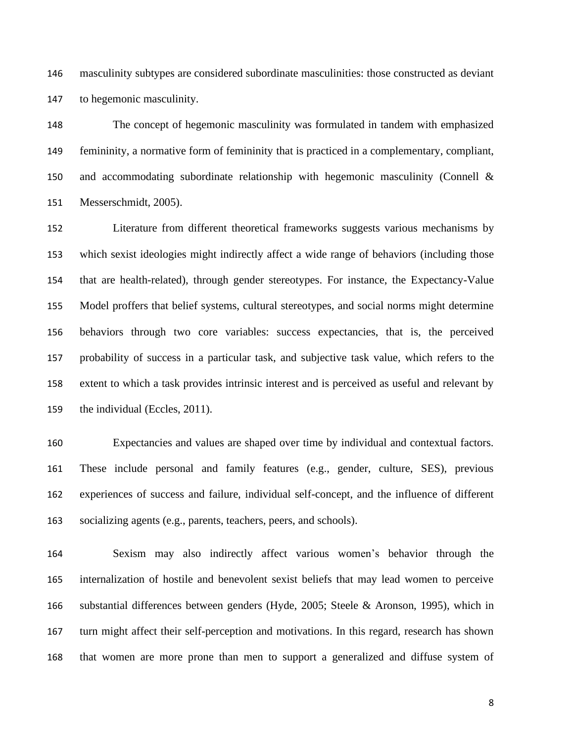masculinity subtypes are considered subordinate masculinities: those constructed as deviant to hegemonic masculinity.

 The concept of hegemonic masculinity was formulated in tandem with emphasized femininity, a normative form of femininity that is practiced in a complementary, compliant, and accommodating subordinate relationship with hegemonic masculinity (Connell & Messerschmidt, 2005).

 Literature from different theoretical frameworks suggests various mechanisms by which sexist ideologies might indirectly affect a wide range of behaviors (including those that are health-related), through gender stereotypes. For instance, the Expectancy-Value Model proffers that belief systems, cultural stereotypes, and social norms might determine behaviors through two core variables: success expectancies, that is, the perceived probability of success in a particular task, and subjective task value, which refers to the extent to which a task provides intrinsic interest and is perceived as useful and relevant by the individual (Eccles, 2011).

 Expectancies and values are shaped over time by individual and contextual factors. These include personal and family features (e.g., gender, culture, SES), previous experiences of success and failure, individual self-concept, and the influence of different socializing agents (e.g., parents, teachers, peers, and schools).

 Sexism may also indirectly affect various women's behavior through the internalization of hostile and benevolent sexist beliefs that may lead women to perceive substantial differences between genders (Hyde, 2005; Steele & Aronson, 1995), which in turn might affect their self-perception and motivations. In this regard, research has shown that women are more prone than men to support a generalized and diffuse system of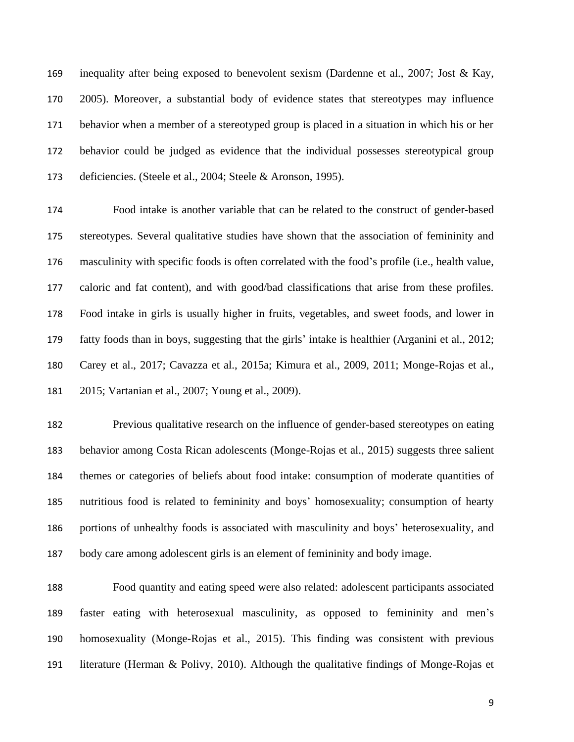inequality after being exposed to benevolent sexism (Dardenne et al., 2007; Jost & Kay, 2005). Moreover, a substantial body of evidence states that stereotypes may influence behavior when a member of a stereotyped group is placed in a situation in which his or her behavior could be judged as evidence that the individual possesses stereotypical group deficiencies. (Steele et al., 2004; Steele & Aronson, 1995).

 Food intake is another variable that can be related to the construct of gender-based stereotypes. Several qualitative studies have shown that the association of femininity and masculinity with specific foods is often correlated with the food's profile (i.e., health value, caloric and fat content), and with good/bad classifications that arise from these profiles. Food intake in girls is usually higher in fruits, vegetables, and sweet foods, and lower in fatty foods than in boys, suggesting that the girls' intake is healthier (Arganini et al., 2012; Carey et al., 2017; Cavazza et al., 2015a; Kimura et al., 2009, 2011; Monge-Rojas et al., 2015; Vartanian et al., 2007; Young et al., 2009).

 Previous qualitative research on the influence of gender-based stereotypes on eating behavior among Costa Rican adolescents (Monge-Rojas et al., 2015) suggests three salient themes or categories of beliefs about food intake: consumption of moderate quantities of nutritious food is related to femininity and boys' homosexuality; consumption of hearty portions of unhealthy foods is associated with masculinity and boys' heterosexuality, and body care among adolescent girls is an element of femininity and body image.

 Food quantity and eating speed were also related: adolescent participants associated faster eating with heterosexual masculinity, as opposed to femininity and men's homosexuality (Monge-Rojas et al., 2015). This finding was consistent with previous literature (Herman & Polivy, 2010). Although the qualitative findings of Monge-Rojas et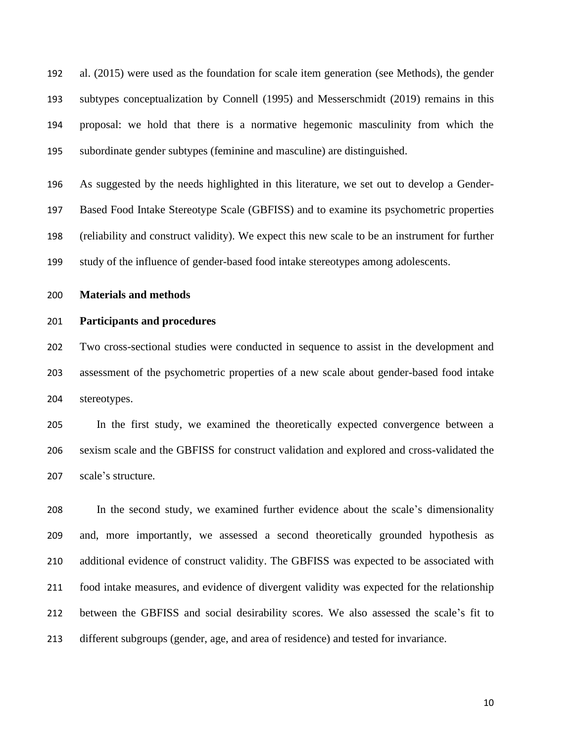al. (2015) were used as the foundation for scale item generation (see Methods), the gender subtypes conceptualization by Connell (1995) and Messerschmidt (2019) remains in this proposal: we hold that there is a normative hegemonic masculinity from which the subordinate gender subtypes (feminine and masculine) are distinguished.

 As suggested by the needs highlighted in this literature, we set out to develop a Gender- Based Food Intake Stereotype Scale (GBFISS) and to examine its psychometric properties (reliability and construct validity). We expect this new scale to be an instrument for further study of the influence of gender-based food intake stereotypes among adolescents.

#### **Materials and methods**

#### **Participants and procedures**

 Two cross-sectional studies were conducted in sequence to assist in the development and assessment of the psychometric properties of a new scale about gender-based food intake stereotypes.

 In the first study, we examined the theoretically expected convergence between a sexism scale and the GBFISS for construct validation and explored and cross-validated the scale's structure.

 In the second study, we examined further evidence about the scale's dimensionality and, more importantly, we assessed a second theoretically grounded hypothesis as additional evidence of construct validity. The GBFISS was expected to be associated with food intake measures, and evidence of divergent validity was expected for the relationship between the GBFISS and social desirability scores. We also assessed the scale's fit to different subgroups (gender, age, and area of residence) and tested for invariance.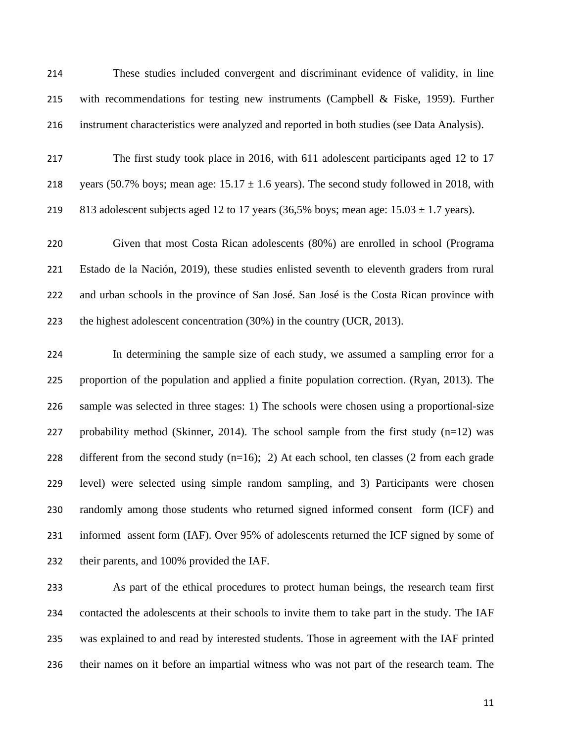These studies included convergent and discriminant evidence of validity, in line with recommendations for testing new instruments (Campbell & Fiske, 1959). Further instrument characteristics were analyzed and reported in both studies (see Data Analysis).

 The first study took place in 2016, with 611 adolescent participants aged 12 to 17 218 years (50.7% boys; mean age:  $15.17 \pm 1.6$  years). The second study followed in 2018, with 219 813 adolescent subjects aged 12 to 17 years (36,5% boys; mean age:  $15.03 \pm 1.7$  years).

 Given that most Costa Rican adolescents (80%) are enrolled in school (Programa Estado de la Nación, 2019), these studies enlisted seventh to eleventh graders from rural and urban schools in the province of San José. San José is the Costa Rican province with the highest adolescent concentration (30%) in the country (UCR, 2013).

 In determining the sample size of each study, we assumed a sampling error for a proportion of the population and applied a finite population correction. (Ryan, 2013). The sample was selected in three stages: 1) The schools were chosen using a proportional-size 227 probability method (Skinner, 2014). The school sample from the first study  $(n=12)$  was 228 different from the second study  $(n=16)$ ; 2) At each school, ten classes (2 from each grade level) were selected using simple random sampling, and 3) Participants were chosen randomly among those students who returned signed informed consent form (ICF) and informed assent form (IAF). Over 95% of adolescents returned the ICF signed by some of their parents, and 100% provided the IAF.

 As part of the ethical procedures to protect human beings, the research team first contacted the adolescents at their schools to invite them to take part in the study. The IAF was explained to and read by interested students. Those in agreement with the IAF printed their names on it before an impartial witness who was not part of the research team. The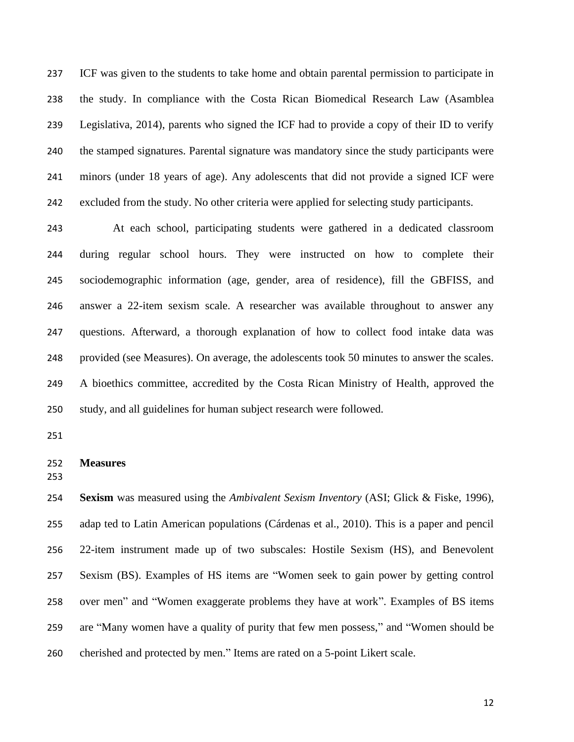ICF was given to the students to take home and obtain parental permission to participate in the study. In compliance with the Costa Rican Biomedical Research Law (Asamblea Legislativa, 2014), parents who signed the ICF had to provide a copy of their ID to verify the stamped signatures. Parental signature was mandatory since the study participants were minors (under 18 years of age). Any adolescents that did not provide a signed ICF were excluded from the study. No other criteria were applied for selecting study participants.

 At each school, participating students were gathered in a dedicated classroom during regular school hours. They were instructed on how to complete their sociodemographic information (age, gender, area of residence), fill the GBFISS, and answer a 22-item sexism scale. A researcher was available throughout to answer any questions. Afterward, a thorough explanation of how to collect food intake data was provided (see Measures). On average, the adolescents took 50 minutes to answer the scales. A bioethics committee, accredited by the Costa Rican Ministry of Health, approved the study, and all guidelines for human subject research were followed.

### **Measures**

 **Sexism** was measured using the *Ambivalent Sexism Inventory* (ASI; Glick & Fiske, 1996), adap ted to Latin American populations (Cárdenas et al., 2010). This is a paper and pencil 22-item instrument made up of two subscales: Hostile Sexism (HS), and Benevolent Sexism (BS). Examples of HS items are "Women seek to gain power by getting control over men" and "Women exaggerate problems they have at work". Examples of BS items are "Many women have a quality of purity that few men possess," and "Women should be cherished and protected by men." Items are rated on a 5-point Likert scale.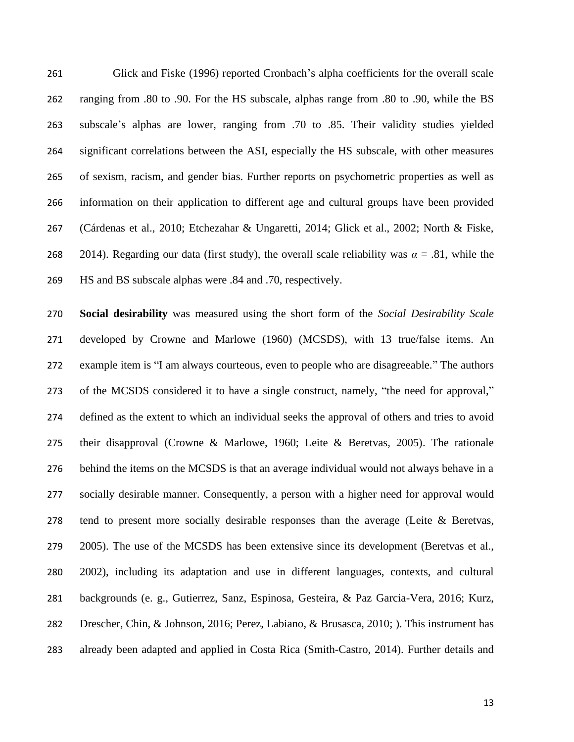Glick and Fiske (1996) reported Cronbach's alpha coefficients for the overall scale ranging from .80 to .90. For the HS subscale, alphas range from .80 to .90, while the BS subscale's alphas are lower, ranging from .70 to .85. Their validity studies yielded significant correlations between the ASI, especially the HS subscale, with other measures of sexism, racism, and gender bias. Further reports on psychometric properties as well as information on their application to different age and cultural groups have been provided (Cárdenas et al., 2010; Etchezahar & Ungaretti, 2014; Glick et al., 2002; North & Fiske, 268 2014). Regarding our data (first study), the overall scale reliability was  $\alpha = .81$ , while the HS and BS subscale alphas were .84 and .70, respectively.

 **Social desirability** was measured using the short form of the *Social Desirability Scale* developed by Crowne and Marlowe (1960) (MCSDS), with 13 true/false items. An example item is "I am always courteous, even to people who are disagreeable." The authors of the MCSDS considered it to have a single construct, namely, "the need for approval," defined as the extent to which an individual seeks the approval of others and tries to avoid their disapproval (Crowne & Marlowe, 1960; Leite & Beretvas, 2005). The rationale behind the items on the MCSDS is that an average individual would not always behave in a socially desirable manner. Consequently, a person with a higher need for approval would tend to present more socially desirable responses than the average (Leite & Beretvas, 2005). The use of the MCSDS has been extensive since its development (Beretvas et al., 2002), including its adaptation and use in different languages, contexts, and cultural backgrounds (e. g., Gutierrez, Sanz, Espinosa, Gesteira, & Paz Garcia-Vera, 2016; Kurz, Drescher, Chin, & Johnson, 2016; Perez, Labiano, & Brusasca, 2010; ). This instrument has already been adapted and applied in Costa Rica (Smith-Castro, 2014). Further details and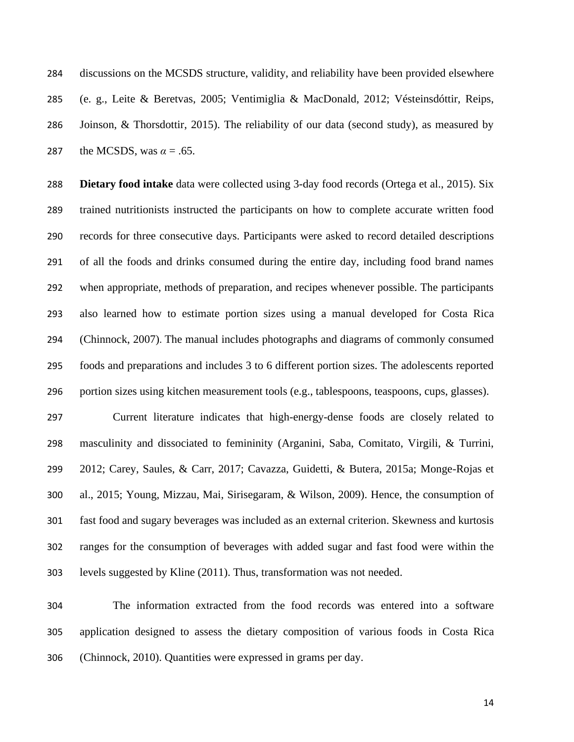discussions on the MCSDS structure, validity, and reliability have been provided elsewhere (e. g., Leite & Beretvas, 2005; Ventimiglia & MacDonald, 2012; Vésteinsdóttir, Reips, Joinson, & Thorsdottir, 2015). The reliability of our data (second study), as measured by 287 the MCSDS, was  $\alpha = .65$ .

 **Dietary food intake** data were collected using 3-day food records (Ortega et al., 2015). Six trained nutritionists instructed the participants on how to complete accurate written food records for three consecutive days. Participants were asked to record detailed descriptions of all the foods and drinks consumed during the entire day, including food brand names when appropriate, methods of preparation, and recipes whenever possible. The participants also learned how to estimate portion sizes using a manual developed for Costa Rica (Chinnock, 2007). The manual includes photographs and diagrams of commonly consumed foods and preparations and includes 3 to 6 different portion sizes. The adolescents reported portion sizes using kitchen measurement tools (e.g., tablespoons, teaspoons, cups, glasses).

 Current literature indicates that high-energy-dense foods are closely related to masculinity and dissociated to femininity (Arganini, Saba, Comitato, Virgili, & Turrini, 2012; Carey, Saules, & Carr, 2017; Cavazza, Guidetti, & Butera, 2015a; Monge-Rojas et al., 2015; Young, Mizzau, Mai, Sirisegaram, & Wilson, 2009). Hence, the consumption of fast food and sugary beverages was included as an external criterion. Skewness and kurtosis ranges for the consumption of beverages with added sugar and fast food were within the levels suggested by Kline (2011). Thus, transformation was not needed.

 The information extracted from the food records was entered into a software application designed to assess the dietary composition of various foods in Costa Rica (Chinnock, 2010). Quantities were expressed in grams per day.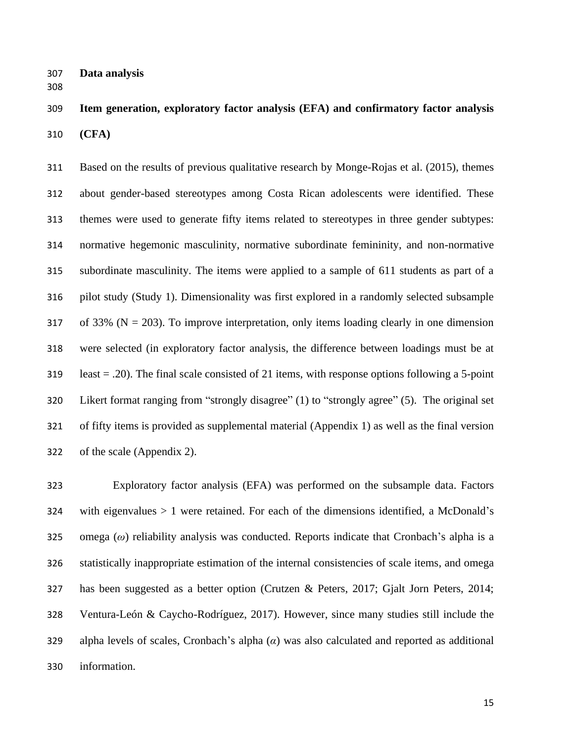**Data analysis**

 **Item generation, exploratory factor analysis (EFA) and confirmatory factor analysis (CFA)**

 Based on the results of previous qualitative research by Monge-Rojas et al. (2015), themes about gender-based stereotypes among Costa Rican adolescents were identified. These themes were used to generate fifty items related to stereotypes in three gender subtypes: normative hegemonic masculinity, normative subordinate femininity, and non-normative subordinate masculinity. The items were applied to a sample of 611 students as part of a pilot study (Study 1). Dimensionality was first explored in a randomly selected subsample 317 of 33% ( $N = 203$ ). To improve interpretation, only items loading clearly in one dimension were selected (in exploratory factor analysis, the difference between loadings must be at least = .20). The final scale consisted of 21 items, with response options following a 5-point Likert format ranging from "strongly disagree" (1) to "strongly agree" (5). The original set of fifty items is provided as supplemental material (Appendix 1) as well as the final version of the scale (Appendix 2).

 Exploratory factor analysis (EFA) was performed on the subsample data. Factors with eigenvalues  $> 1$  were retained. For each of the dimensions identified, a McDonald's omega (*ω*) reliability analysis was conducted. Reports indicate that Cronbach's alpha is a statistically inappropriate estimation of the internal consistencies of scale items, and omega has been suggested as a better option (Crutzen & Peters, 2017; Gjalt Jorn Peters, 2014; Ventura-León & Caycho-Rodríguez, 2017). However, since many studies still include the alpha levels of scales, Cronbach's alpha (*α*) was also calculated and reported as additional information.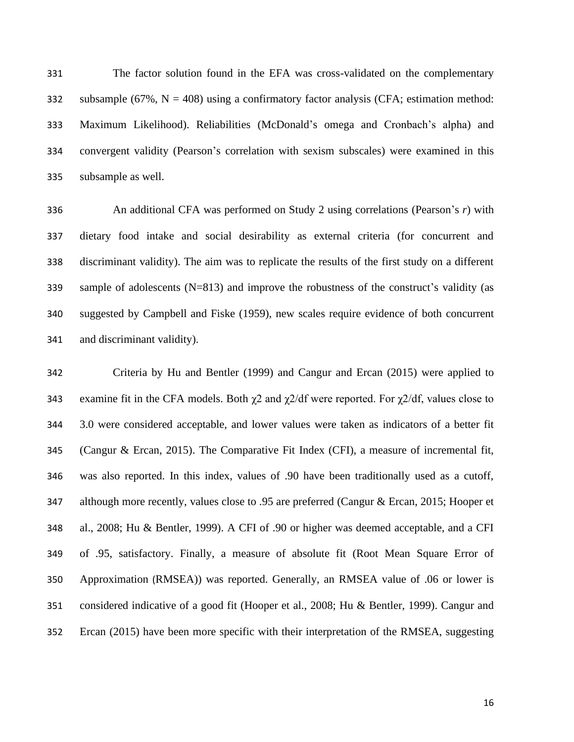The factor solution found in the EFA was cross-validated on the complementary 332 subsample  $(67\%, N = 408)$  using a confirmatory factor analysis (CFA; estimation method: Maximum Likelihood). Reliabilities (McDonald's omega and Cronbach's alpha) and convergent validity (Pearson's correlation with sexism subscales) were examined in this subsample as well.

 An additional CFA was performed on Study 2 using correlations (Pearson's *r*) with dietary food intake and social desirability as external criteria (for concurrent and discriminant validity). The aim was to replicate the results of the first study on a different sample of adolescents (N=813) and improve the robustness of the construct's validity (as suggested by Campbell and Fiske (1959), new scales require evidence of both concurrent and discriminant validity).

 Criteria by Hu and Bentler (1999) and Cangur and Ercan (2015) were applied to 343 examine fit in the CFA models. Both  $\chi$ 2 and  $\chi$ 2/df were reported. For  $\chi$ 2/df, values close to 3.0 were considered acceptable, and lower values were taken as indicators of a better fit (Cangur & Ercan, 2015). The Comparative Fit Index (CFI), a measure of incremental fit, was also reported. In this index, values of .90 have been traditionally used as a cutoff, 347 although more recently, values close to .95 are preferred (Cangur & Ercan, 2015; Hooper et al., 2008; Hu & Bentler, 1999). A CFI of .90 or higher was deemed acceptable, and a CFI of .95, satisfactory. Finally, a measure of absolute fit (Root Mean Square Error of Approximation (RMSEA)) was reported. Generally, an RMSEA value of .06 or lower is considered indicative of a good fit (Hooper et al., 2008; Hu & Bentler, 1999). Cangur and Ercan (2015) have been more specific with their interpretation of the RMSEA, suggesting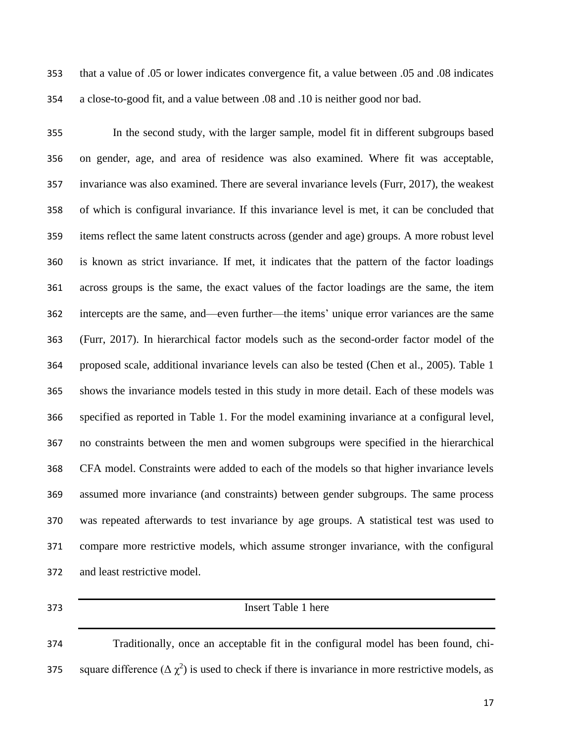that a value of .05 or lower indicates convergence fit, a value between .05 and .08 indicates a close-to-good fit, and a value between .08 and .10 is neither good nor bad.

 In the second study, with the larger sample, model fit in different subgroups based on gender, age, and area of residence was also examined. Where fit was acceptable, invariance was also examined. There are several invariance levels (Furr, 2017), the weakest of which is configural invariance. If this invariance level is met, it can be concluded that items reflect the same latent constructs across (gender and age) groups. A more robust level is known as strict invariance. If met, it indicates that the pattern of the factor loadings across groups is the same, the exact values of the factor loadings are the same, the item intercepts are the same, and—even further—the items' unique error variances are the same (Furr, 2017). In hierarchical factor models such as the second-order factor model of the proposed scale, additional invariance levels can also be tested (Chen et al., 2005). Table 1 shows the invariance models tested in this study in more detail. Each of these models was specified as reported in Table 1. For the model examining invariance at a configural level, no constraints between the men and women subgroups were specified in the hierarchical CFA model. Constraints were added to each of the models so that higher invariance levels assumed more invariance (and constraints) between gender subgroups. The same process was repeated afterwards to test invariance by age groups. A statistical test was used to compare more restrictive models, which assume stronger invariance, with the configural and least restrictive model.

## Insert Table 1 here

 Traditionally, once an acceptable fit in the configural model has been found, chi-375 square difference  $(\Delta \chi^2)$  is used to check if there is invariance in more restrictive models, as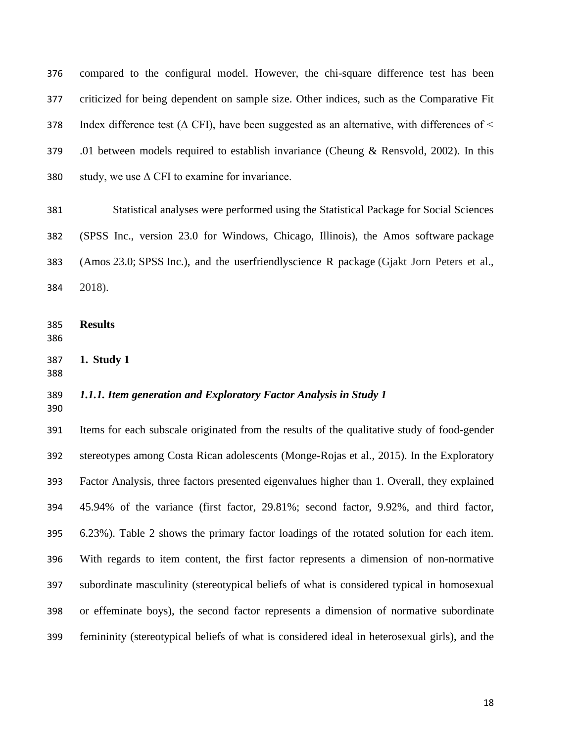compared to the configural model. However, the chi-square difference test has been criticized for being dependent on sample size. Other indices, such as the Comparative Fit 378 Index difference test ( $\triangle$  CFI), have been suggested as an alternative, with differences of  $\leq$  .01 between models required to establish invariance (Cheung & Rensvold, 2002). In this 380 study, we use  $\Delta$  CFI to examine for invariance.

 Statistical analyses were performed using the Statistical Package for Social Sciences (SPSS Inc., version 23.0 for Windows, Chicago, Illinois), the Amos software package (Amos 23.0; SPSS Inc.), and the userfriendlyscience R package (Gjakt Jorn Peters et al., 2018).

- **Results**
- **1. Study 1**
- 

## *1.1.1. Item generation and Exploratory Factor Analysis in Study 1*

 Items for each subscale originated from the results of the qualitative study of food-gender stereotypes among Costa Rican adolescents (Monge-Rojas et al., 2015). In the Exploratory Factor Analysis, three factors presented eigenvalues higher than 1. Overall, they explained 45.94% of the variance (first factor, 29.81%; second factor, 9.92%, and third factor, 6.23%). Table 2 shows the primary factor loadings of the rotated solution for each item. With regards to item content, the first factor represents a dimension of non-normative subordinate masculinity (stereotypical beliefs of what is considered typical in homosexual or effeminate boys), the second factor represents a dimension of normative subordinate femininity (stereotypical beliefs of what is considered ideal in heterosexual girls), and the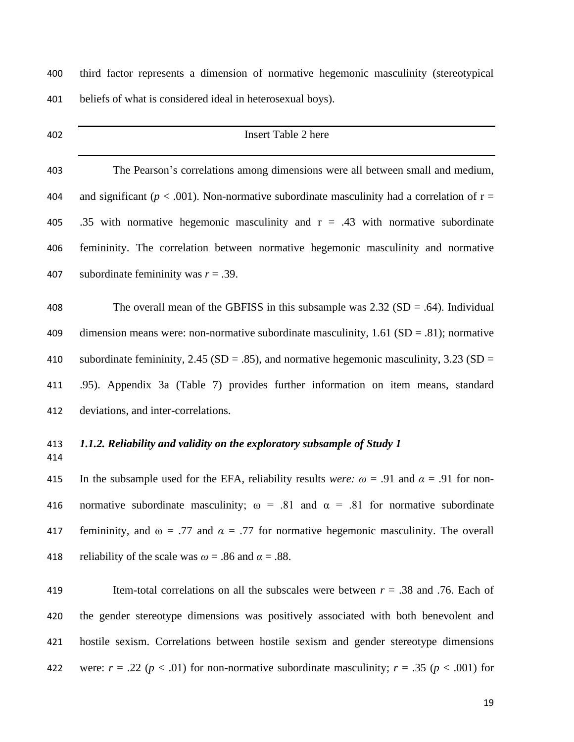## Insert Table 2 here

 The Pearson's correlations among dimensions were all between small and medium, 404 and significant ( $p < .001$ ). Non-normative subordinate masculinity had a correlation of  $r =$ 405 .35 with normative hegemonic masculinity and  $r = .43$  with normative subordinate femininity. The correlation between normative hegemonic masculinity and normative subordinate femininity was *r* = .39.

 The overall mean of the GBFISS in this subsample was 2.32 (SD = .64). Individual 409 dimension means were: non-normative subordinate masculinity,  $1.61$  (SD = .81); normative 410 subordinate femininity,  $2.45$  (SD = .85), and normative hegemonic masculinity, 3.23 (SD = .95). Appendix 3a (Table 7) provides further information on item means, standard deviations, and inter-correlations.

## *1.1.2. Reliability and validity on the exploratory subsample of Study 1*

415 In the subsample used for the EFA, reliability results *were*:  $\omega = .91$  and  $\alpha = .91$  for non-416 normative subordinate masculinity;  $\omega = .81$  and  $\alpha = .81$  for normative subordinate 417 femininity, and  $\omega = .77$  and  $\alpha = .77$  for normative hegemonic masculinity. The overall 418 reliability of the scale was  $\omega = .86$  and  $\alpha = .88$ .

 Item-total correlations on all the subscales were between *r* = .38 and .76. Each of the gender stereotype dimensions was positively associated with both benevolent and hostile sexism. Correlations between hostile sexism and gender stereotype dimensions 422 were:  $r = .22$  ( $p < .01$ ) for non-normative subordinate masculinity;  $r = .35$  ( $p < .001$ ) for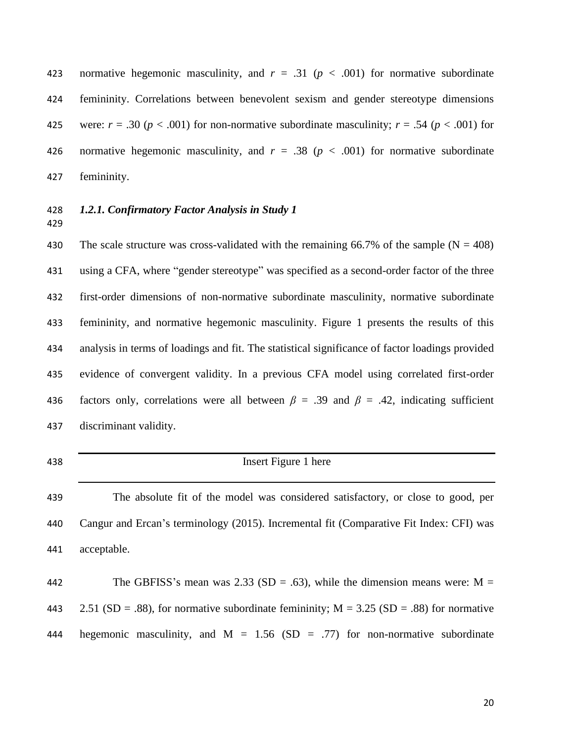423 normative hegemonic masculinity, and  $r = .31$  ( $p < .001$ ) for normative subordinate femininity. Correlations between benevolent sexism and gender stereotype dimensions 425 were:  $r = .30$  ( $p < .001$ ) for non-normative subordinate masculinity;  $r = .54$  ( $p < .001$ ) for 426 normative hegemonic masculinity, and  $r = .38$  ( $p < .001$ ) for normative subordinate femininity.

### *1.2.1. Confirmatory Factor Analysis in Study 1*

430 The scale structure was cross-validated with the remaining 66.7% of the sample  $(N = 408)$  using a CFA, where "gender stereotype" was specified as a second-order factor of the three first-order dimensions of non-normative subordinate masculinity, normative subordinate femininity, and normative hegemonic masculinity. Figure 1 presents the results of this analysis in terms of loadings and fit. The statistical significance of factor loadings provided evidence of convergent validity. In a previous CFA model using correlated first-order factors only, correlations were all between *β* = .39 and *β* = .42, indicating sufficient discriminant validity.

 Insert Figure 1 here The absolute fit of the model was considered satisfactory, or close to good, per Cangur and Ercan's terminology (2015). Incremental fit (Comparative Fit Index: CFI) was

acceptable.

442 The GBFISS's mean was 2.33 (SD = .63), while the dimension means were:  $M =$ 443 2.51 (SD = .88), for normative subordinate femininity;  $M = 3.25$  (SD = .88) for normative 444 hegemonic masculinity, and  $M = 1.56$  (SD = .77) for non-normative subordinate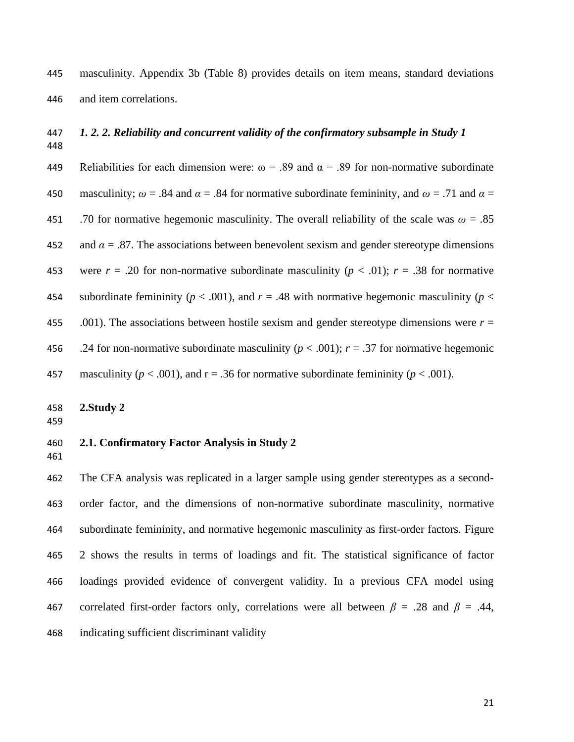masculinity. Appendix 3b (Table 8) provides details on item means, standard deviations and item correlations.

# 

## *1. 2. 2. Reliability and concurrent validity of the confirmatory subsample in Study 1*

449 Reliabilities for each dimension were:  $\omega = .89$  and  $\alpha = .89$  for non-normative subordinate 450 masculinity;  $\omega$  = .84 and  $\alpha$  = .84 for normative subordinate femininity, and  $\omega$  = .71 and  $\alpha$  = 451 .70 for normative hegemonic masculinity. The overall reliability of the scale was  $\omega = .85$ 452 and  $\alpha = 0.87$ . The associations between benevolent sexism and gender stereotype dimensions 453 were  $r = .20$  for non-normative subordinate masculinity ( $p < .01$ );  $r = .38$  for normative 454 subordinate femininity ( $p < .001$ ), and  $r = .48$  with normative hegemonic masculinity ( $p <$  .001). The associations between hostile sexism and gender stereotype dimensions were *r* = 456 .24 for non-normative subordinate masculinity ( $p < .001$ );  $r = .37$  for normative hegemonic 457 masculinity ( $p < .001$ ), and  $r = .36$  for normative subordinate femininity ( $p < .001$ ).

**2.Study 2**

#### **2.1. Confirmatory Factor Analysis in Study 2**

 The CFA analysis was replicated in a larger sample using gender stereotypes as a second- order factor, and the dimensions of non-normative subordinate masculinity, normative subordinate femininity, and normative hegemonic masculinity as first-order factors. Figure 2 shows the results in terms of loadings and fit. The statistical significance of factor loadings provided evidence of convergent validity. In a previous CFA model using 467 correlated first-order factors only, correlations were all between  $\beta = .28$  and  $\beta = .44$ , indicating sufficient discriminant validity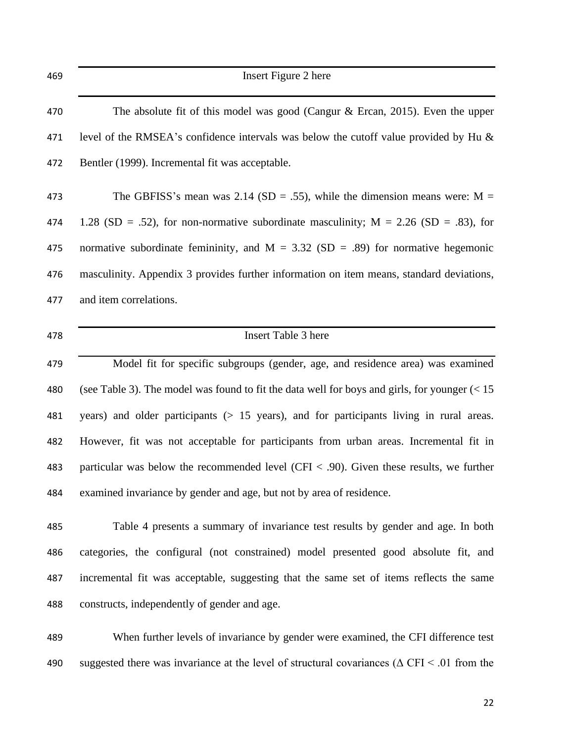| 469 | Insert Figure 2 here                                                                                |
|-----|-----------------------------------------------------------------------------------------------------|
| 470 | The absolute fit of this model was good (Cangur $\&$ Ercan, 2015). Even the upper                   |
| 471 | level of the RMSEA's confidence intervals was below the cutoff value provided by Hu &               |
| 472 | Bentler (1999). Incremental fit was acceptable.                                                     |
| 473 | The GBFISS's mean was 2.14 (SD = .55), while the dimension means were: $M =$                        |
| 474 | 1.28 (SD = .52), for non-normative subordinate masculinity; $M = 2.26$ (SD = .83), for              |
| 475 | normative subordinate femininity, and $M = 3.32$ (SD = .89) for normative hegemonic                 |
| 476 | masculinity. Appendix 3 provides further information on item means, standard deviations,            |
| 477 | and item correlations.                                                                              |
| 478 | <b>Insert Table 3 here</b>                                                                          |
| 479 | Model fit for specific subgroups (gender, age, and residence area) was examined                     |
| 480 | (see Table 3). The model was found to fit the data well for boys and girls, for younger $(< 15$     |
| 481 | years) and older participants $(> 15$ years), and for participants living in rural areas.           |
| 482 | However, fit was not acceptable for participants from urban areas. Incremental fit in               |
| 483 | particular was below the recommended level (CFI $<$ .90). Given these results, we further           |
| 484 | examined invariance by gender and age, but not by area of residence.                                |
| 485 | Table 4 presents a summary of invariance test results by gender and age. In both                    |
| 486 | categories, the configural (not constrained) model presented good absolute fit, and                 |
| 487 | incremental fit was acceptable, suggesting that the same set of items reflects the same             |
| 488 | constructs, independently of gender and age.                                                        |
| 489 | When further levels of invariance by gender were examined, the CFI difference test                  |
| 490 | suggested there was invariance at the level of structural covariances ( $\Delta$ CFI < .01 from the |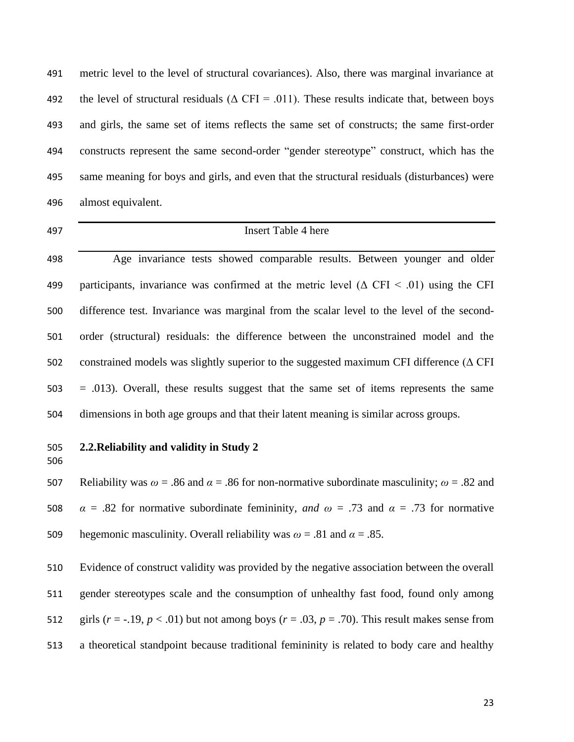metric level to the level of structural covariances). Also, there was marginal invariance at 492 the level of structural residuals ( $\triangle$  CFI = .011). These results indicate that, between boys and girls, the same set of items reflects the same set of constructs; the same first-order constructs represent the same second-order "gender stereotype" construct, which has the same meaning for boys and girls, and even that the structural residuals (disturbances) were almost equivalent.

 Insert Table 4 here Age invariance tests showed comparable results. Between younger and older 499 participants, invariance was confirmed at the metric level  $(\triangle CFI \leq .01)$  using the CFI difference test. Invariance was marginal from the scalar level to the level of the second- order (structural) residuals: the difference between the unconstrained model and the constrained models was slightly superior to the suggested maximum CFI difference (Δ CFI = .013). Overall, these results suggest that the same set of items represents the same dimensions in both age groups and that their latent meaning is similar across groups.

## **2.2.Reliability and validity in Study 2**

 Reliability was *ω* = .86 and *α* = .86 for non-normative subordinate masculinity; *ω* = .82 and 508  $\alpha = .82$  for normative subordinate femininity, *and*  $\omega = .73$  and  $\alpha = .73$  for normative 509 hegemonic masculinity. Overall reliability was  $\omega = .81$  and  $\alpha = .85$ .

 Evidence of construct validity was provided by the negative association between the overall gender stereotypes scale and the consumption of unhealthy fast food, found only among 512 girls  $(r = -.19, p < .01)$  but not among boys  $(r = .03, p = .70)$ . This result makes sense from a theoretical standpoint because traditional femininity is related to body care and healthy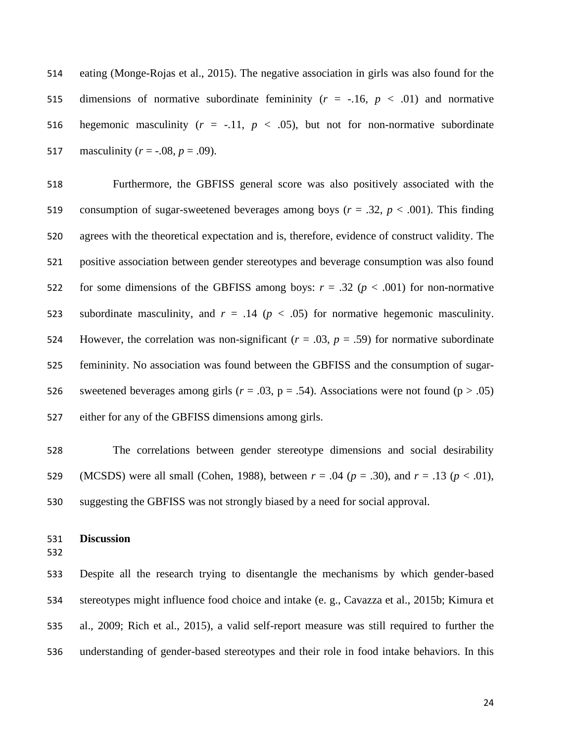eating (Monge-Rojas et al., 2015). The negative association in girls was also found for the 515 dimensions of normative subordinate femininity  $(r = -.16, p < .01)$  and normative 516 hegemonic masculinity  $(r = -.11, p < .05)$ , but not for non-normative subordinate 517 masculinity  $(r = -.08, p = .09)$ .

 Furthermore, the GBFISS general score was also positively associated with the consumption of sugar-sweetened beverages among boys (*r* = .32, *p* < .001). This finding agrees with the theoretical expectation and is, therefore, evidence of construct validity. The positive association between gender stereotypes and beverage consumption was also found 522 for some dimensions of the GBFISS among boys:  $r = .32$  ( $p < .001$ ) for non-normative 523 subordinate masculinity, and  $r = .14$  ( $p < .05$ ) for normative hegemonic masculinity. 524 However, the correlation was non-significant  $(r = .03, p = .59)$  for normative subordinate femininity. No association was found between the GBFISS and the consumption of sugar-526 sweetened beverages among girls ( $r = .03$ ,  $p = .54$ ). Associations were not found ( $p > .05$ ) either for any of the GBFISS dimensions among girls.

 The correlations between gender stereotype dimensions and social desirability 529 (MCSDS) were all small (Cohen, 1988), between  $r = .04$  ( $p = .30$ ), and  $r = .13$  ( $p < .01$ ), suggesting the GBFISS was not strongly biased by a need for social approval.

### **Discussion**

 Despite all the research trying to disentangle the mechanisms by which gender-based stereotypes might influence food choice and intake (e. g., Cavazza et al., 2015b; Kimura et al., 2009; Rich et al., 2015), a valid self-report measure was still required to further the understanding of gender-based stereotypes and their role in food intake behaviors. In this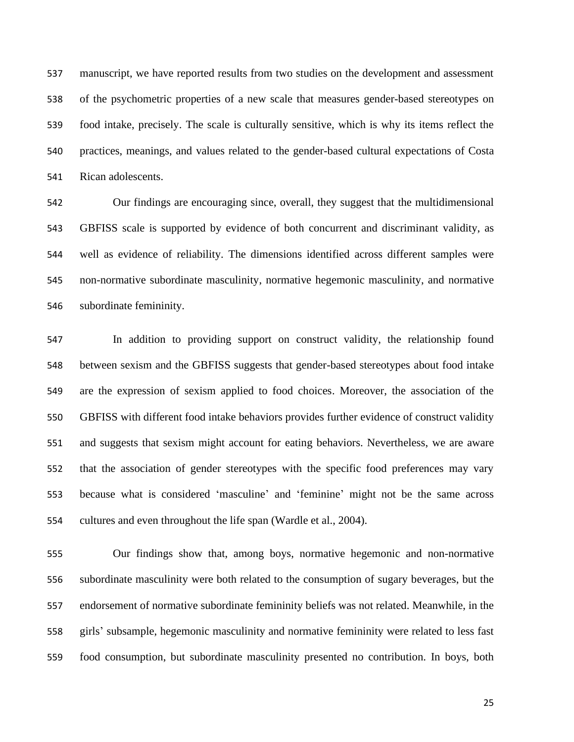manuscript, we have reported results from two studies on the development and assessment of the psychometric properties of a new scale that measures gender-based stereotypes on food intake, precisely. The scale is culturally sensitive, which is why its items reflect the practices, meanings, and values related to the gender-based cultural expectations of Costa Rican adolescents.

 Our findings are encouraging since, overall, they suggest that the multidimensional GBFISS scale is supported by evidence of both concurrent and discriminant validity, as well as evidence of reliability. The dimensions identified across different samples were non-normative subordinate masculinity, normative hegemonic masculinity, and normative subordinate femininity.

 In addition to providing support on construct validity, the relationship found between sexism and the GBFISS suggests that gender-based stereotypes about food intake are the expression of sexism applied to food choices. Moreover, the association of the GBFISS with different food intake behaviors provides further evidence of construct validity and suggests that sexism might account for eating behaviors. Nevertheless, we are aware that the association of gender stereotypes with the specific food preferences may vary because what is considered 'masculine' and 'feminine' might not be the same across cultures and even throughout the life span (Wardle et al., 2004).

 Our findings show that, among boys, normative hegemonic and non-normative subordinate masculinity were both related to the consumption of sugary beverages, but the endorsement of normative subordinate femininity beliefs was not related. Meanwhile, in the girls' subsample, hegemonic masculinity and normative femininity were related to less fast food consumption, but subordinate masculinity presented no contribution. In boys, both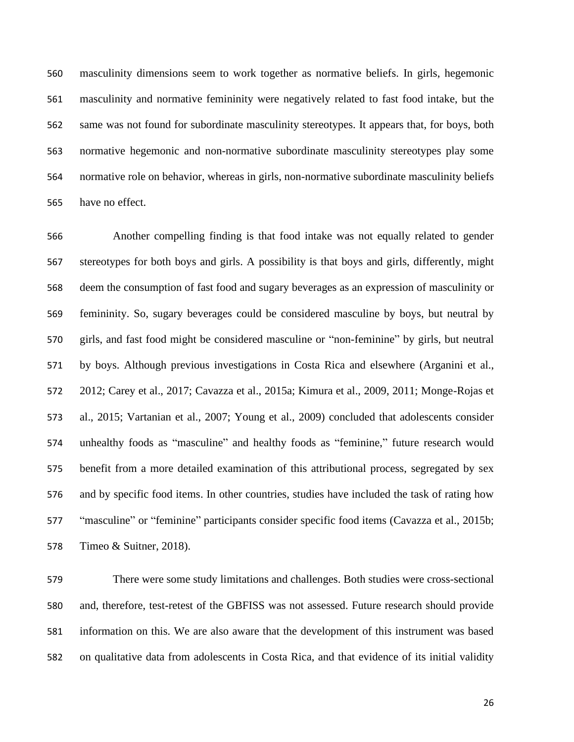masculinity dimensions seem to work together as normative beliefs. In girls, hegemonic masculinity and normative femininity were negatively related to fast food intake, but the same was not found for subordinate masculinity stereotypes. It appears that, for boys, both normative hegemonic and non-normative subordinate masculinity stereotypes play some normative role on behavior, whereas in girls, non-normative subordinate masculinity beliefs have no effect.

 Another compelling finding is that food intake was not equally related to gender stereotypes for both boys and girls. A possibility is that boys and girls, differently, might deem the consumption of fast food and sugary beverages as an expression of masculinity or femininity. So, sugary beverages could be considered masculine by boys, but neutral by girls, and fast food might be considered masculine or "non-feminine" by girls, but neutral by boys. Although previous investigations in Costa Rica and elsewhere (Arganini et al., 2012; Carey et al., 2017; Cavazza et al., 2015a; Kimura et al., 2009, 2011; Monge-Rojas et al., 2015; Vartanian et al., 2007; Young et al., 2009) concluded that adolescents consider unhealthy foods as "masculine" and healthy foods as "feminine," future research would benefit from a more detailed examination of this attributional process, segregated by sex and by specific food items. In other countries, studies have included the task of rating how "masculine" or "feminine" participants consider specific food items (Cavazza et al., 2015b; Timeo & Suitner, 2018).

 There were some study limitations and challenges. Both studies were cross-sectional and, therefore, test-retest of the GBFISS was not assessed. Future research should provide information on this. We are also aware that the development of this instrument was based on qualitative data from adolescents in Costa Rica, and that evidence of its initial validity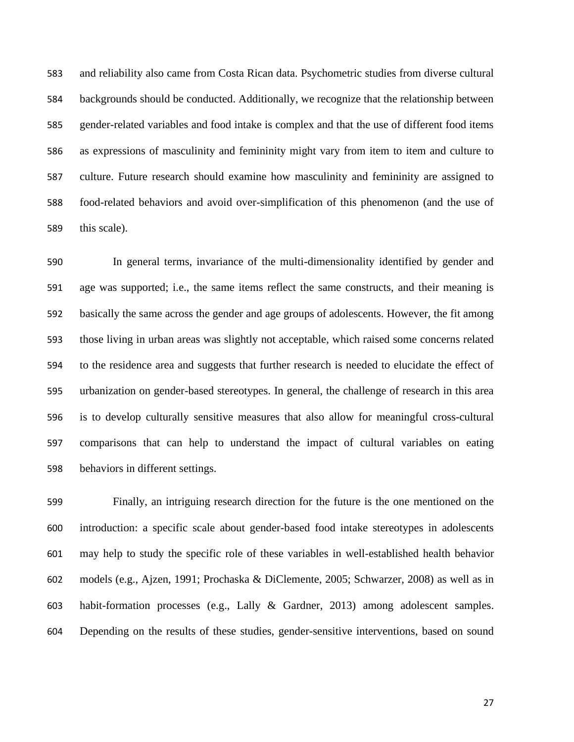and reliability also came from Costa Rican data. Psychometric studies from diverse cultural backgrounds should be conducted. Additionally, we recognize that the relationship between gender-related variables and food intake is complex and that the use of different food items as expressions of masculinity and femininity might vary from item to item and culture to culture. Future research should examine how masculinity and femininity are assigned to food-related behaviors and avoid over-simplification of this phenomenon (and the use of this scale).

 In general terms, invariance of the multi-dimensionality identified by gender and age was supported; i.e., the same items reflect the same constructs, and their meaning is basically the same across the gender and age groups of adolescents. However, the fit among those living in urban areas was slightly not acceptable, which raised some concerns related to the residence area and suggests that further research is needed to elucidate the effect of urbanization on gender-based stereotypes. In general, the challenge of research in this area is to develop culturally sensitive measures that also allow for meaningful cross-cultural comparisons that can help to understand the impact of cultural variables on eating behaviors in different settings.

 Finally, an intriguing research direction for the future is the one mentioned on the introduction: a specific scale about gender-based food intake stereotypes in adolescents may help to study the specific role of these variables in well-established health behavior models (e.g., Ajzen, 1991; Prochaska & DiClemente, 2005; Schwarzer, 2008) as well as in habit-formation processes (e.g., Lally & Gardner, 2013) among adolescent samples. Depending on the results of these studies, gender-sensitive interventions, based on sound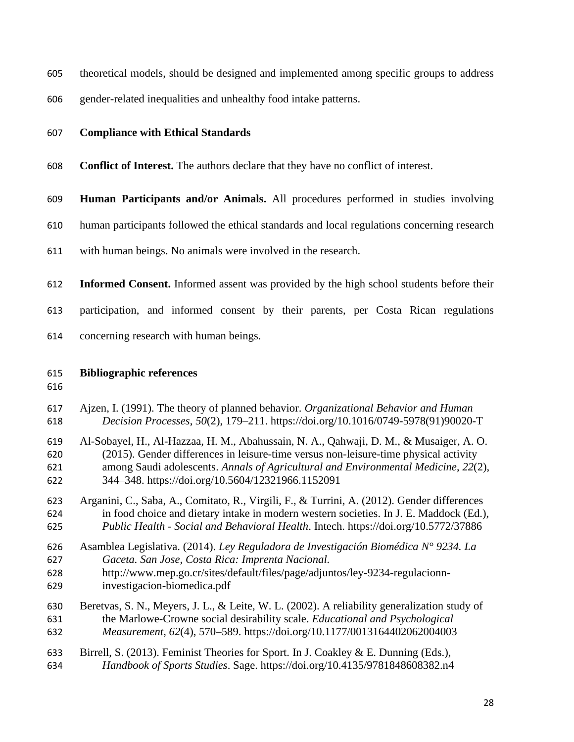theoretical models, should be designed and implemented among specific groups to address

gender-related inequalities and unhealthy food intake patterns.

### **Compliance with Ethical Standards**

- **Conflict of Interest.** The authors declare that they have no conflict of interest.
- **Human Participants and/or Animals.** All procedures performed in studies involving
- human participants followed the ethical standards and local regulations concerning research
- with human beings. No animals were involved in the research.
- **Informed Consent.** Informed assent was provided by the high school students before their
- participation, and informed consent by their parents, per Costa Rican regulations
- concerning research with human beings.

#### **Bibliographic references**

- Ajzen, I. (1991). The theory of planned behavior. *Organizational Behavior and Human Decision Processes*, *50*(2), 179–211. https://doi.org/10.1016/0749-5978(91)90020-T
- Al-Sobayel, H., Al-Hazzaa, H. M., Abahussain, N. A., Qahwaji, D. M., & Musaiger, A. O. (2015). Gender differences in leisure-time versus non-leisure-time physical activity among Saudi adolescents. *Annals of Agricultural and Environmental Medicine*, *22*(2), 344–348. https://doi.org/10.5604/12321966.1152091
- Arganini, C., Saba, A., Comitato, R., Virgili, F., & Turrini, A. (2012). Gender differences in food choice and dietary intake in modern western societies. In J. E. Maddock (Ed.), *Public Health - Social and Behavioral Health*. Intech. https://doi.org/10.5772/37886
- Asamblea Legislativa. (2014). *Ley Reguladora de Investigación Biomédica N° 9234. La Gaceta. San Jose, Costa Rica: Imprenta Nacional.*
- http://www.mep.go.cr/sites/default/files/page/adjuntos/ley-9234-regulacionn-investigacion-biomedica.pdf
- Beretvas, S. N., Meyers, J. L., & Leite, W. L. (2002). A reliability generalization study of the Marlowe-Crowne social desirability scale. *Educational and Psychological Measurement*, *62*(4), 570–589. https://doi.org/10.1177/0013164402062004003
- Birrell, S. (2013). Feminist Theories for Sport. In J. Coakley & E. Dunning (Eds.), *Handbook of Sports Studies*. Sage. https://doi.org/10.4135/9781848608382.n4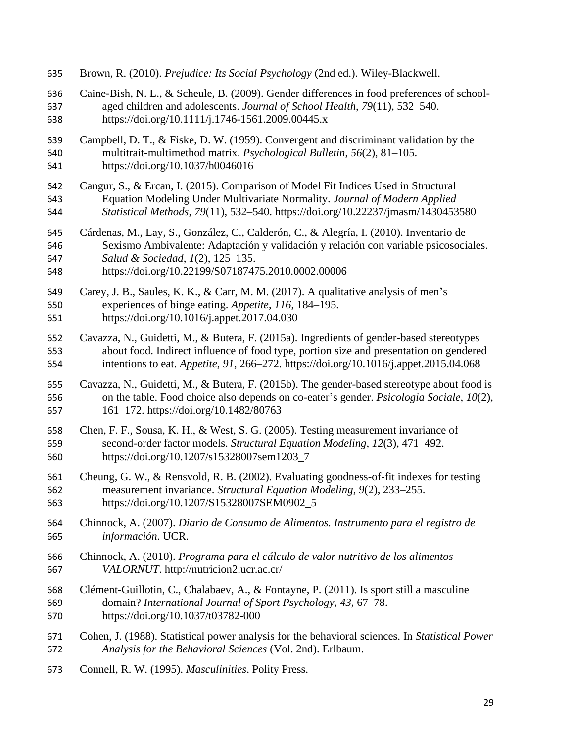| 635 | Brown, R. (2010). Prejudice: Its Social Psychology (2nd ed.). Wiley-Blackwell.                  |
|-----|-------------------------------------------------------------------------------------------------|
| 636 | Caine-Bish, N. L., & Scheule, B. (2009). Gender differences in food preferences of school-      |
| 637 | aged children and adolescents. Journal of School Health, 79(11), 532-540.                       |
| 638 | https://doi.org/10.1111/j.1746-1561.2009.00445.x                                                |
| 639 | Campbell, D. T., & Fiske, D. W. (1959). Convergent and discriminant validation by the           |
| 640 | multitrait-multimethod matrix. Psychological Bulletin, 56(2), 81-105.                           |
| 641 | https://doi.org/10.1037/h0046016                                                                |
| 642 | Cangur, S., & Ercan, I. (2015). Comparison of Model Fit Indices Used in Structural              |
| 643 | Equation Modeling Under Multivariate Normality. Journal of Modern Applied                       |
| 644 | Statistical Methods, 79(11), 532–540. https://doi.org/10.22237/jmasm/1430453580                 |
| 645 | Cárdenas, M., Lay, S., González, C., Calderón, C., & Alegría, I. (2010). Inventario de          |
| 646 | Sexismo Ambivalente: Adaptación y validación y relación con variable psicosociales.             |
| 647 | Salud & Sociedad, 1(2), 125-135.                                                                |
| 648 | https://doi.org/10.22199/S07187475.2010.0002.00006                                              |
| 649 | Carey, J. B., Saules, K. K., & Carr, M. M. (2017). A qualitative analysis of men's              |
| 650 | experiences of binge eating. Appetite, 116, 184–195.                                            |
| 651 | https://doi.org/10.1016/j.appet.2017.04.030                                                     |
| 652 | Cavazza, N., Guidetti, M., & Butera, F. (2015a). Ingredients of gender-based stereotypes        |
| 653 | about food. Indirect influence of food type, portion size and presentation on gendered          |
| 654 | intentions to eat. Appetite, 91, 266–272. https://doi.org/10.1016/j.appet.2015.04.068           |
| 655 | Cavazza, N., Guidetti, M., & Butera, F. (2015b). The gender-based stereotype about food is      |
| 656 | on the table. Food choice also depends on co-eater's gender. <i>Psicologia Sociale</i> , 10(2), |
| 657 | 161-172. https://doi.org/10.1482/80763                                                          |
| 658 | Chen, F. F., Sousa, K. H., & West, S. G. (2005). Testing measurement invariance of              |
| 659 | second-order factor models. Structural Equation Modeling, 12(3), 471-492.                       |
| 660 | https://doi.org/10.1207/s15328007sem1203_7                                                      |
| 661 | Cheung, G. W., & Rensvold, R. B. (2002). Evaluating goodness-of-fit indexes for testing         |
| 662 | measurement invariance. Structural Equation Modeling, 9(2), 233-255.                            |
| 663 | https://doi.org/10.1207/S15328007SEM0902_5                                                      |
| 664 | Chinnock, A. (2007). Diario de Consumo de Alimentos. Instrumento para el registro de            |
| 665 | información. UCR.                                                                               |
| 666 | Chinnock, A. (2010). Programa para el cálculo de valor nutritivo de los alimentos               |
| 667 | VALORNUT. http://nutricion2.ucr.ac.cr/                                                          |
| 668 | Clément-Guillotin, C., Chalabaev, A., & Fontayne, P. (2011). Is sport still a masculine         |
| 669 | domain? International Journal of Sport Psychology, 43, 67–78.                                   |
| 670 | https://doi.org/10.1037/t03782-000                                                              |
| 671 | Cohen, J. (1988). Statistical power analysis for the behavioral sciences. In Statistical Power  |
| 672 | Analysis for the Behavioral Sciences (Vol. 2nd). Erlbaum.                                       |
| 673 | Connell, R. W. (1995). Masculinities. Polity Press.                                             |
|     |                                                                                                 |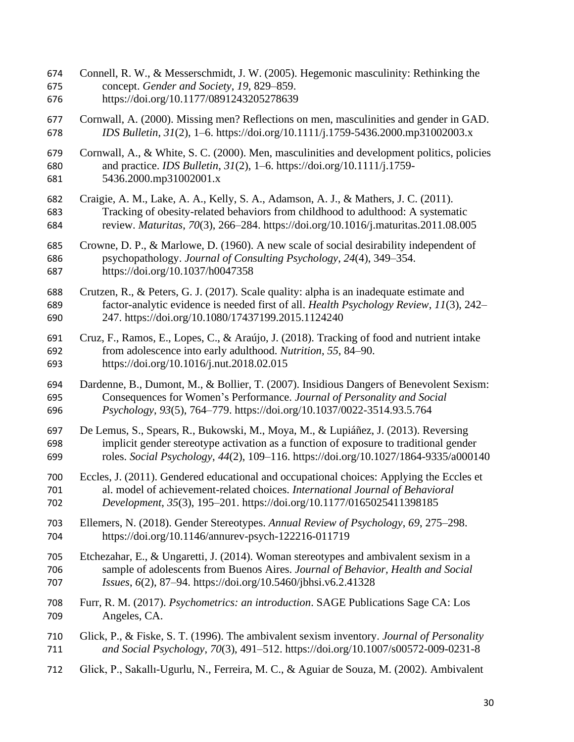- Connell, R. W., & Messerschmidt, J. W. (2005). Hegemonic masculinity: Rethinking the concept. *Gender and Society*, *19*, 829–859.
- https://doi.org/10.1177/0891243205278639
- Cornwall, A. (2000). Missing men? Reflections on men, masculinities and gender in GAD. *IDS Bulletin*, *31*(2), 1–6. https://doi.org/10.1111/j.1759-5436.2000.mp31002003.x
- Cornwall, A., & White, S. C. (2000). Men, masculinities and development politics, policies and practice. *IDS Bulletin*, *31*(2), 1–6. https://doi.org/10.1111/j.1759- 5436.2000.mp31002001.x
- Craigie, A. M., Lake, A. A., Kelly, S. A., Adamson, A. J., & Mathers, J. C. (2011). Tracking of obesity-related behaviors from childhood to adulthood: A systematic review. *Maturitas*, *70*(3), 266–284. https://doi.org/10.1016/j.maturitas.2011.08.005
- Crowne, D. P., & Marlowe, D. (1960). A new scale of social desirability independent of psychopathology. *Journal of Consulting Psychology*, *24*(4), 349–354. https://doi.org/10.1037/h0047358
- Crutzen, R., & Peters, G. J. (2017). Scale quality: alpha is an inadequate estimate and factor-analytic evidence is needed first of all. *Health Psychology Review*, *11*(3), 242– 247. https://doi.org/10.1080/17437199.2015.1124240
- Cruz, F., Ramos, E., Lopes, C., & Araújo, J. (2018). Tracking of food and nutrient intake from adolescence into early adulthood. *Nutrition*, *55*, 84–90. https://doi.org/10.1016/j.nut.2018.02.015
- Dardenne, B., Dumont, M., & Bollier, T. (2007). Insidious Dangers of Benevolent Sexism: Consequences for Women's Performance. *Journal of Personality and Social Psychology*, *93*(5), 764–779. https://doi.org/10.1037/0022-3514.93.5.764
- De Lemus, S., Spears, R., Bukowski, M., Moya, M., & Lupiáñez, J. (2013). Reversing implicit gender stereotype activation as a function of exposure to traditional gender roles. *Social Psychology*, *44*(2), 109–116. https://doi.org/10.1027/1864-9335/a000140
- Eccles, J. (2011). Gendered educational and occupational choices: Applying the Eccles et al. model of achievement-related choices. *International Journal of Behavioral Development*, *35*(3), 195–201. https://doi.org/10.1177/0165025411398185
- Ellemers, N. (2018). Gender Stereotypes. *Annual Review of Psychology*, *69*, 275–298. https://doi.org/10.1146/annurev-psych-122216-011719
- Etchezahar, E., & Ungaretti, J. (2014). Woman stereotypes and ambivalent sexism in a sample of adolescents from Buenos Aires. *Journal of Behavior, Health and Social Issues*, *6*(2), 87–94. https://doi.org/10.5460/jbhsi.v6.2.41328
- Furr, R. M. (2017). *Psychometrics: an introduction*. SAGE Publications Sage CA: Los Angeles, CA.
- Glick, P., & Fiske, S. T. (1996). The ambivalent sexism inventory. *Journal of Personality and Social Psychology*, *70*(3), 491–512. https://doi.org/10.1007/s00572-009-0231-8
- Glick, P., Sakallı-Ugurlu, N., Ferreira, M. C., & Aguiar de Souza, M. (2002). Ambivalent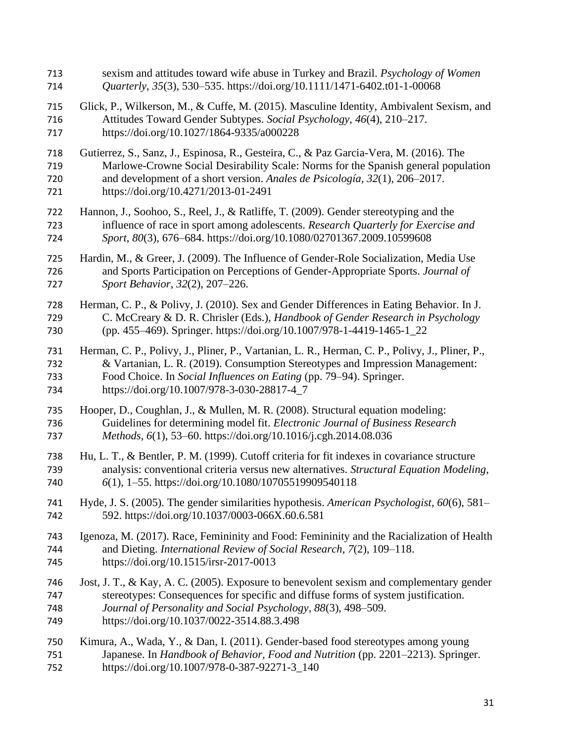sexism and attitudes toward wife abuse in Turkey and Brazil. *Psychology of Women Quarterly*, *35*(3), 530–535. https://doi.org/10.1111/1471-6402.t01-1-00068 Glick, P., Wilkerson, M., & Cuffe, M. (2015). Masculine Identity, Ambivalent Sexism, and Attitudes Toward Gender Subtypes. *Social Psychology*, *46*(4), 210–217. https://doi.org/10.1027/1864-9335/a000228 Gutierrez, S., Sanz, J., Espinosa, R., Gesteira, C., & Paz Garcia-Vera, M. (2016). The Marlowe-Crowne Social Desirability Scale: Norms for the Spanish general population and development of a short version. *Anales de Psicología*, *32*(1), 206–2017. https://doi.org/10.4271/2013-01-2491 Hannon, J., Soohoo, S., Reel, J., & Ratliffe, T. (2009). Gender stereotyping and the influence of race in sport among adolescents. *Research Quarterly for Exercise and Sport*, *80*(3), 676–684. https://doi.org/10.1080/02701367.2009.10599608 Hardin, M., & Greer, J. (2009). The Influence of Gender-Role Socialization, Media Use and Sports Participation on Perceptions of Gender-Appropriate Sports. *Journal of Sport Behavior*, *32*(2), 207–226. Herman, C. P., & Polivy, J. (2010). Sex and Gender Differences in Eating Behavior. In J. C. McCreary & D. R. Chrisler (Eds.), *Handbook of Gender Research in Psychology* (pp. 455–469). Springer. https://doi.org/10.1007/978-1-4419-1465-1\_22 Herman, C. P., Polivy, J., Pliner, P., Vartanian, L. R., Herman, C. P., Polivy, J., Pliner, P., & Vartanian, L. R. (2019). Consumption Stereotypes and Impression Management: Food Choice. In *Social Influences on Eating* (pp. 79–94). Springer. https://doi.org/10.1007/978-3-030-28817-4\_7 Hooper, D., Coughlan, J., & Mullen, M. R. (2008). Structural equation modeling: Guidelines for determining model fit. *Electronic Journal of Business Research Methods*, *6*(1), 53–60. https://doi.org/10.1016/j.cgh.2014.08.036 Hu, L. T., & Bentler, P. M. (1999). Cutoff criteria for fit indexes in covariance structure analysis: conventional criteria versus new alternatives. *Structural Equation Modeling*, *6*(1), 1–55. https://doi.org/10.1080/10705519909540118 Hyde, J. S. (2005). The gender similarities hypothesis. *American Psychologist*, *60*(6), 581– 592. https://doi.org/10.1037/0003-066X.60.6.581 Igenoza, M. (2017). Race, Femininity and Food: Femininity and the Racialization of Health and Dieting. *International Review of Social Research*, *7*(2), 109–118. https://doi.org/10.1515/irsr-2017-0013 Jost, J. T., & Kay, A. C. (2005). Exposure to benevolent sexism and complementary gender stereotypes: Consequences for specific and diffuse forms of system justification. *Journal of Personality and Social Psychology*, *88*(3), 498–509. https://doi.org/10.1037/0022-3514.88.3.498 Kimura, A., Wada, Y., & Dan, I. (2011). Gender-based food stereotypes among young Japanese. In *Handbook of Behavior, Food and Nutrition* (pp. 2201–2213). Springer. https://doi.org/10.1007/978-0-387-92271-3\_140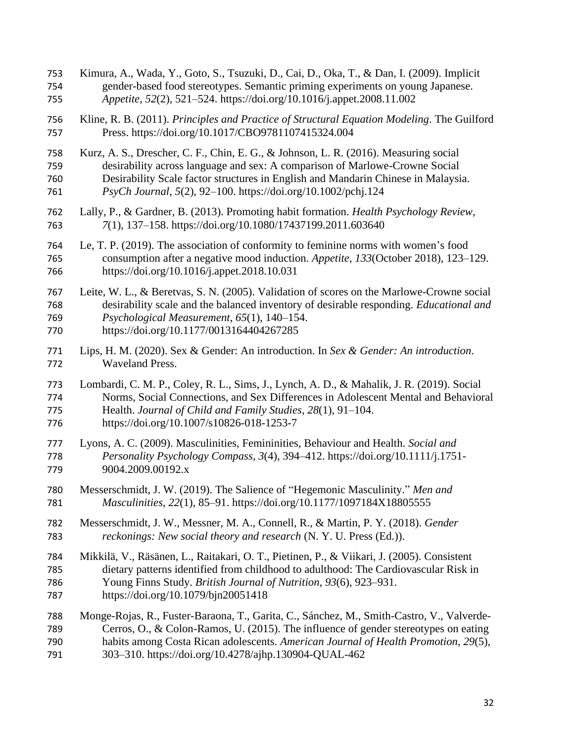Kimura, A., Wada, Y., Goto, S., Tsuzuki, D., Cai, D., Oka, T., & Dan, I. (2009). Implicit gender-based food stereotypes. Semantic priming experiments on young Japanese. *Appetite*, *52*(2), 521–524. https://doi.org/10.1016/j.appet.2008.11.002 Kline, R. B. (2011). *Principles and Practice of Structural Equation Modeling*. The Guilford Press. https://doi.org/10.1017/CBO9781107415324.004 Kurz, A. S., Drescher, C. F., Chin, E. G., & Johnson, L. R. (2016). Measuring social desirability across language and sex: A comparison of Marlowe-Crowne Social Desirability Scale factor structures in English and Mandarin Chinese in Malaysia. *PsyCh Journal*, *5*(2), 92–100. https://doi.org/10.1002/pchj.124 Lally, P., & Gardner, B. (2013). Promoting habit formation. *Health Psychology Review*, *7*(1), 137–158. https://doi.org/10.1080/17437199.2011.603640 Le, T. P. (2019). The association of conformity to feminine norms with women's food consumption after a negative mood induction. *Appetite*, *133*(October 2018), 123–129. https://doi.org/10.1016/j.appet.2018.10.031 Leite, W. L., & Beretvas, S. N. (2005). Validation of scores on the Marlowe-Crowne social desirability scale and the balanced inventory of desirable responding. *Educational and Psychological Measurement*, *65*(1), 140–154. https://doi.org/10.1177/0013164404267285 Lips, H. M. (2020). Sex & Gender: An introduction. In *Sex & Gender: An introduction*. Waveland Press. Lombardi, C. M. P., Coley, R. L., Sims, J., Lynch, A. D., & Mahalik, J. R. (2019). Social Norms, Social Connections, and Sex Differences in Adolescent Mental and Behavioral Health. *Journal of Child and Family Studies*, *28*(1), 91–104. https://doi.org/10.1007/s10826-018-1253-7 Lyons, A. C. (2009). Masculinities, Femininities, Behaviour and Health. *Social and Personality Psychology Compass*, *3*(4), 394–412. https://doi.org/10.1111/j.1751- 9004.2009.00192.x Messerschmidt, J. W. (2019). The Salience of "Hegemonic Masculinity." *Men and Masculinities*, *22*(1), 85–91. https://doi.org/10.1177/1097184X18805555 Messerschmidt, J. W., Messner, M. A., Connell, R., & Martin, P. Y. (2018). *Gender reckonings: New social theory and research* (N. Y. U. Press (Ed.)). Mikkilä, V., Räsänen, L., Raitakari, O. T., Pietinen, P., & Viikari, J. (2005). Consistent dietary patterns identified from childhood to adulthood: The Cardiovascular Risk in Young Finns Study. *British Journal of Nutrition*, *93*(6), 923–931. https://doi.org/10.1079/bjn20051418 Monge-Rojas, R., Fuster-Baraona, T., Garita, C., Sánchez, M., Smith-Castro, V., Valverde- Cerros, O., & Colon-Ramos, U. (2015). The influence of gender stereotypes on eating habits among Costa Rican adolescents. *American Journal of Health Promotion*, *29*(5), 303–310. https://doi.org/10.4278/ajhp.130904-QUAL-462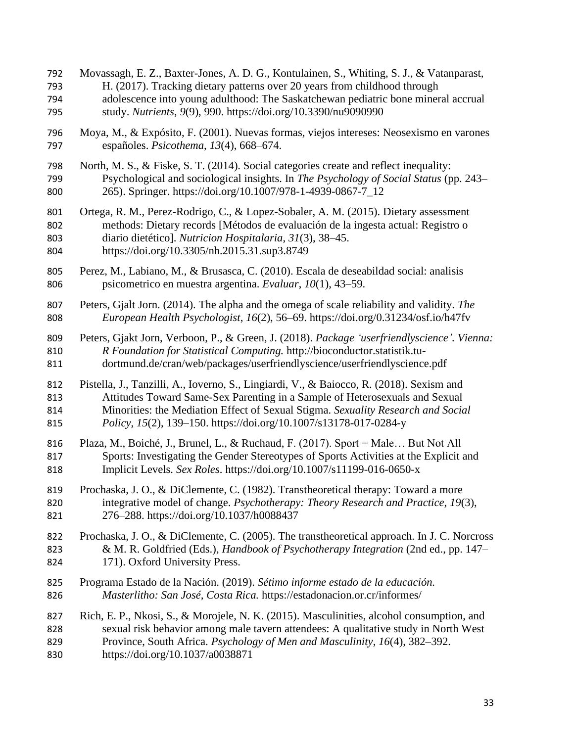Movassagh, E. Z., Baxter-Jones, A. D. G., Kontulainen, S., Whiting, S. J., & Vatanparast, H. (2017). Tracking dietary patterns over 20 years from childhood through adolescence into young adulthood: The Saskatchewan pediatric bone mineral accrual study. *Nutrients*, *9*(9), 990. https://doi.org/10.3390/nu9090990 Moya, M., & Expósito, F. (2001). Nuevas formas, viejos intereses: Neosexismo en varones españoles. *Psicothema*, *13*(4), 668–674. North, M. S., & Fiske, S. T. (2014). Social categories create and reflect inequality: Psychological and sociological insights. In *The Psychology of Social Status* (pp. 243– 265). Springer. https://doi.org/10.1007/978-1-4939-0867-7\_12 Ortega, R. M., Perez-Rodrigo, C., & Lopez-Sobaler, A. M. (2015). Dietary assessment methods: Dietary records [Métodos de evaluación de la ingesta actual: Registro o diario dietético]. *Nutricion Hospitalaria*, *31*(3), 38–45. https://doi.org/10.3305/nh.2015.31.sup3.8749 Perez, M., Labiano, M., & Brusasca, C. (2010). Escala de deseabildad social: analisis psicometrico en muestra argentina. *Evaluar*, *10*(1), 43–59. Peters, Gjalt Jorn. (2014). The alpha and the omega of scale reliability and validity. *The European Health Psychologist*, *16*(2), 56–69. https://doi.org/0.31234/osf.io/h47fv Peters, Gjakt Jorn, Verboon, P., & Green, J. (2018). *Package 'userfriendlyscience'. Vienna: R Foundation for Statistical Computing.* http://bioconductor.statistik.tu- dortmund.de/cran/web/packages/userfriendlyscience/userfriendlyscience.pdf Pistella, J., Tanzilli, A., Ioverno, S., Lingiardi, V., & Baiocco, R. (2018). Sexism and Attitudes Toward Same-Sex Parenting in a Sample of Heterosexuals and Sexual Minorities: the Mediation Effect of Sexual Stigma. *Sexuality Research and Social Policy*, *15*(2), 139–150. https://doi.org/10.1007/s13178-017-0284-y Plaza, M., Boiché, J., Brunel, L., & Ruchaud, F. (2017). Sport = Male… But Not All Sports: Investigating the Gender Stereotypes of Sports Activities at the Explicit and Implicit Levels. *Sex Roles*. https://doi.org/10.1007/s11199-016-0650-x Prochaska, J. O., & DiClemente, C. (1982). Transtheoretical therapy: Toward a more integrative model of change. *Psychotherapy: Theory Research and Practice*, *19*(3), 276–288. https://doi.org/10.1037/h0088437 Prochaska, J. O., & DiClemente, C. (2005). The transtheoretical approach. In J. C. Norcross & M. R. Goldfried (Eds.), *Handbook of Psychotherapy Integration* (2nd ed., pp. 147– 171). Oxford University Press. Programa Estado de la Nación. (2019). *Sétimo informe estado de la educación. Masterlitho: San José, Costa Rica.* https://estadonacion.or.cr/informes/ Rich, E. P., Nkosi, S., & Morojele, N. K. (2015). Masculinities, alcohol consumption, and sexual risk behavior among male tavern attendees: A qualitative study in North West Province, South Africa. *Psychology of Men and Masculinity*, *16*(4), 382–392. https://doi.org/10.1037/a0038871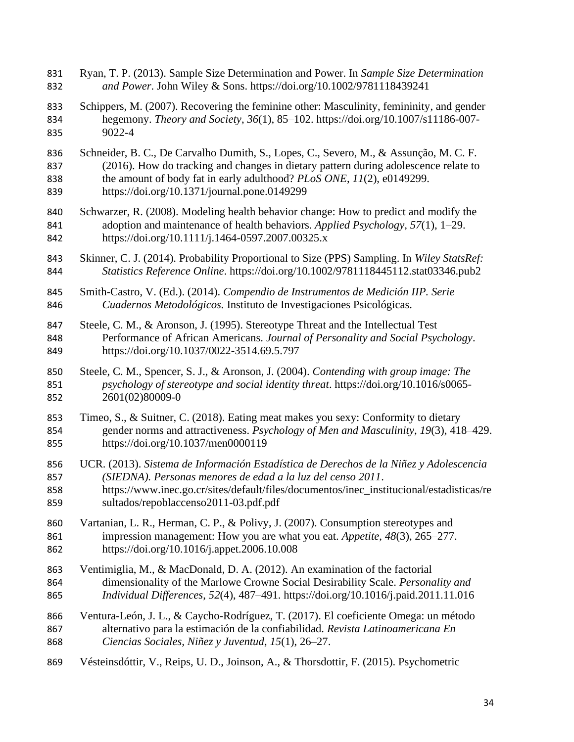- Ryan, T. P. (2013). Sample Size Determination and Power. In *Sample Size Determination and Power*. John Wiley & Sons. https://doi.org/10.1002/9781118439241
- Schippers, M. (2007). Recovering the feminine other: Masculinity, femininity, and gender hegemony. *Theory and Society*, *36*(1), 85–102. https://doi.org/10.1007/s11186-007- 9022-4
- Schneider, B. C., De Carvalho Dumith, S., Lopes, C., Severo, M., & Assunção, M. C. F. (2016). How do tracking and changes in dietary pattern during adolescence relate to the amount of body fat in early adulthood? *PLoS ONE*, *11*(2), e0149299. https://doi.org/10.1371/journal.pone.0149299
- Schwarzer, R. (2008). Modeling health behavior change: How to predict and modify the adoption and maintenance of health behaviors. *Applied Psychology*, *57*(1), 1–29. https://doi.org/10.1111/j.1464-0597.2007.00325.x
- Skinner, C. J. (2014). Probability Proportional to Size (PPS) Sampling. In *Wiley StatsRef: Statistics Reference Online*. https://doi.org/10.1002/9781118445112.stat03346.pub2
- Smith-Castro, V. (Ed.). (2014). *Compendio de Instrumentos de Medición IIP. Serie Cuadernos Metodológicos.* Instituto de Investigaciones Psicológicas.
- Steele, C. M., & Aronson, J. (1995). Stereotype Threat and the Intellectual Test Performance of African Americans. *Journal of Personality and Social Psychology*. https://doi.org/10.1037/0022-3514.69.5.797
- Steele, C. M., Spencer, S. J., & Aronson, J. (2004). *Contending with group image: The psychology of stereotype and social identity threat*. https://doi.org/10.1016/s0065- 2601(02)80009-0
- Timeo, S., & Suitner, C. (2018). Eating meat makes you sexy: Conformity to dietary gender norms and attractiveness. *Psychology of Men and Masculinity*, *19*(3), 418–429. https://doi.org/10.1037/men0000119
- UCR. (2013). *Sistema de Información Estadística de Derechos de la Niñez y Adolescencia (SIEDNA). Personas menores de edad a la luz del censo 2011*. https://www.inec.go.cr/sites/default/files/documentos/inec\_institucional/estadisticas/re
- sultados/repoblaccenso2011-03.pdf.pdf
- Vartanian, L. R., Herman, C. P., & Polivy, J. (2007). Consumption stereotypes and impression management: How you are what you eat. *Appetite*, *48*(3), 265–277. https://doi.org/10.1016/j.appet.2006.10.008
- Ventimiglia, M., & MacDonald, D. A. (2012). An examination of the factorial dimensionality of the Marlowe Crowne Social Desirability Scale. *Personality and Individual Differences*, *52*(4), 487–491. https://doi.org/10.1016/j.paid.2011.11.016
- Ventura-León, J. L., & Caycho-Rodríguez, T. (2017). El coeficiente Omega: un método alternativo para la estimación de la confiabilidad. *Revista Latinoamericana En Ciencias Sociales, Niñez y Juventud*, *15*(1), 26–27.
- Vésteinsdóttir, V., Reips, U. D., Joinson, A., & Thorsdottir, F. (2015). Psychometric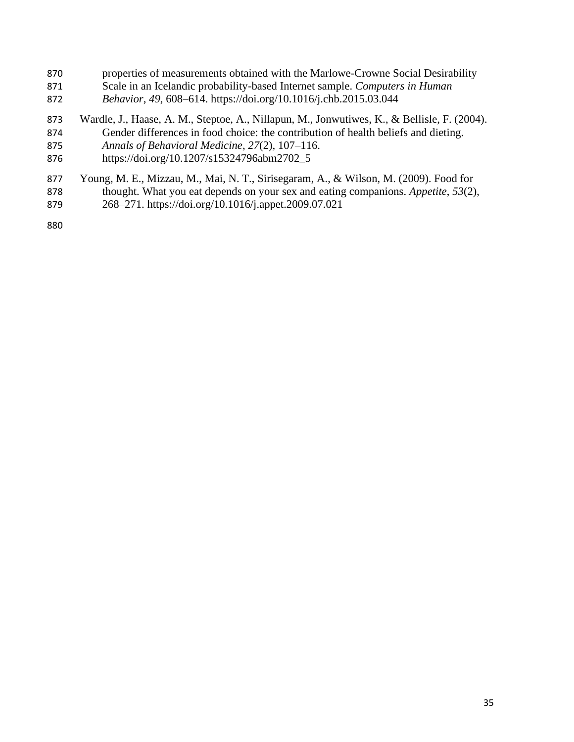- properties of measurements obtained with the Marlowe-Crowne Social Desirability Scale in an Icelandic probability-based Internet sample. *Computers in Human*
- *Behavior*, *49*, 608–614. https://doi.org/10.1016/j.chb.2015.03.044
- Wardle, J., Haase, A. M., Steptoe, A., Nillapun, M., Jonwutiwes, K., & Bellisle, F. (2004).
- Gender differences in food choice: the contribution of health beliefs and dieting.
- *Annals of Behavioral Medicine*, *27*(2), 107–116.
- https://doi.org/10.1207/s15324796abm2702\_5
- Young, M. E., Mizzau, M., Mai, N. T., Sirisegaram, A., & Wilson, M. (2009). Food for
- thought. What you eat depends on your sex and eating companions. *Appetite*, *53*(2),
- 268–271. https://doi.org/10.1016/j.appet.2009.07.021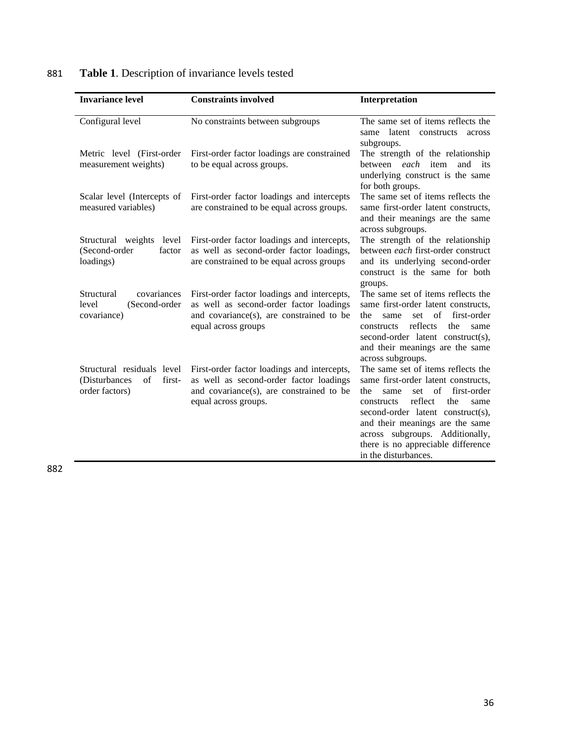| <b>Invariance level</b>                                                        | <b>Constraints involved</b>                                                                                                                                | Interpretation                                                                                                                                                                                                                                                                                                                        |
|--------------------------------------------------------------------------------|------------------------------------------------------------------------------------------------------------------------------------------------------------|---------------------------------------------------------------------------------------------------------------------------------------------------------------------------------------------------------------------------------------------------------------------------------------------------------------------------------------|
| Configural level                                                               | No constraints between subgroups                                                                                                                           | The same set of items reflects the<br>latent constructs<br>same<br>across<br>subgroups.                                                                                                                                                                                                                                               |
| Metric level (First-order<br>measurement weights)                              | First-order factor loadings are constrained<br>to be equal across groups.                                                                                  | The strength of the relationship<br>item<br>between <i>each</i><br>and its<br>underlying construct is the same<br>for both groups.                                                                                                                                                                                                    |
| Scalar level (Intercepts of<br>measured variables)                             | First-order factor loadings and intercepts<br>are constrained to be equal across groups.                                                                   | The same set of items reflects the<br>same first-order latent constructs,<br>and their meanings are the same<br>across subgroups.                                                                                                                                                                                                     |
| Structural weights level<br>(Second-order<br>factor<br>loadings)               | First-order factor loadings and intercepts,<br>as well as second-order factor loadings,<br>are constrained to be equal across groups                       | The strength of the relationship<br>between each first-order construct<br>and its underlying second-order<br>construct is the same for both<br>groups.                                                                                                                                                                                |
| covariances<br>Structural<br>(Second-order<br>level<br>covariance)             | First-order factor loadings and intercepts,<br>as well as second-order factor loadings<br>and covariance(s), are constrained to be<br>equal across groups  | The same set of items reflects the<br>same first-order latent constructs,<br>set of<br>first-order<br>the<br>same<br>reflects<br>the<br>constructs<br>same<br>second-order latent construct(s),<br>and their meanings are the same<br>across subgroups.                                                                               |
| Structural residuals level<br>(Disturbances)<br>of<br>first-<br>order factors) | First-order factor loadings and intercepts,<br>as well as second-order factor loadings<br>and covariance(s), are constrained to be<br>equal across groups. | The same set of items reflects the<br>same first-order latent constructs,<br>of<br>first-order<br>the<br>set<br>same<br>reflect<br>the<br>constructs<br>same<br>second-order latent construct(s),<br>and their meanings are the same<br>across subgroups. Additionally,<br>there is no appreciable difference<br>in the disturbances. |

# 881 **Table 1**. Description of invariance levels tested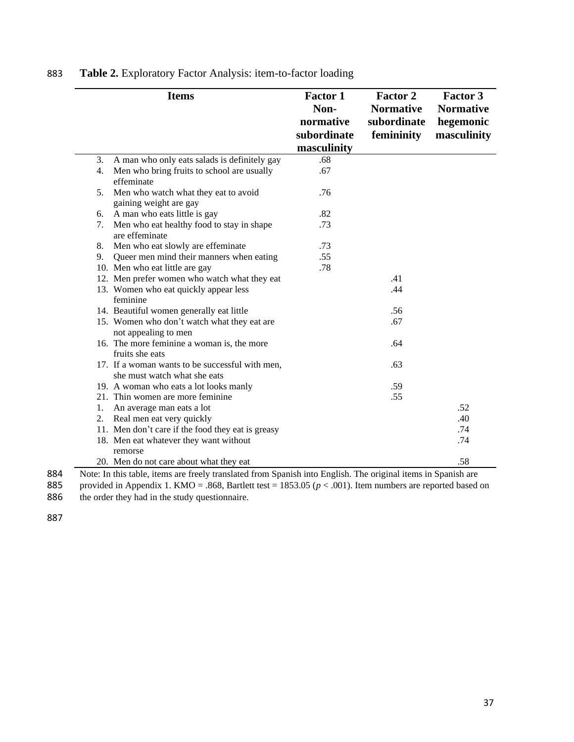|    | <b>Items</b>                                                                                                  | <b>Factor 1</b><br>Non-<br>normative<br>subordinate<br>masculinity | <b>Factor 2</b><br><b>Normative</b><br>subordinate<br>femininity | Factor 3<br><b>Normative</b><br>hegemonic<br>masculinity |
|----|---------------------------------------------------------------------------------------------------------------|--------------------------------------------------------------------|------------------------------------------------------------------|----------------------------------------------------------|
| 3. | A man who only eats salads is definitely gay                                                                  | .68                                                                |                                                                  |                                                          |
| 4. | Men who bring fruits to school are usually<br>effeminate                                                      | .67                                                                |                                                                  |                                                          |
| 5. | Men who watch what they eat to avoid<br>gaining weight are gay                                                | .76                                                                |                                                                  |                                                          |
|    | 6. A man who eats little is gay                                                                               | .82                                                                |                                                                  |                                                          |
| 7. | Men who eat healthy food to stay in shape<br>are effeminate                                                   | .73                                                                |                                                                  |                                                          |
| 8. | Men who eat slowly are effeminate                                                                             | .73                                                                |                                                                  |                                                          |
| 9. | Queer men mind their manners when eating                                                                      | .55                                                                |                                                                  |                                                          |
|    | 10. Men who eat little are gay                                                                                | .78                                                                |                                                                  |                                                          |
|    | 12. Men prefer women who watch what they eat                                                                  |                                                                    | .41                                                              |                                                          |
|    | 13. Women who eat quickly appear less<br>feminine                                                             |                                                                    | .44                                                              |                                                          |
|    | 14. Beautiful women generally eat little                                                                      |                                                                    | .56                                                              |                                                          |
|    | 15. Women who don't watch what they eat are<br>not appealing to men                                           |                                                                    | .67                                                              |                                                          |
|    | 16. The more feminine a woman is, the more<br>fruits she eats                                                 |                                                                    | .64                                                              |                                                          |
|    | 17. If a woman wants to be successful with men,<br>she must watch what she eats                               |                                                                    | .63                                                              |                                                          |
|    | 19. A woman who eats a lot looks manly                                                                        |                                                                    | .59                                                              |                                                          |
|    | 21. Thin women are more feminine                                                                              |                                                                    | .55                                                              |                                                          |
| 1. | An average man eats a lot                                                                                     |                                                                    |                                                                  | .52                                                      |
| 2. | Real men eat very quickly                                                                                     |                                                                    |                                                                  | .40                                                      |
|    | 11. Men don't care if the food they eat is greasy                                                             |                                                                    |                                                                  | .74                                                      |
|    | 18. Men eat whatever they want without                                                                        |                                                                    |                                                                  | .74                                                      |
|    | remorse                                                                                                       |                                                                    |                                                                  |                                                          |
|    | 20. Men do not care about what they eat                                                                       |                                                                    |                                                                  | .58                                                      |
|    | Note: In this toble, items are freely translated from Spanish into English. The original items in Spanish are |                                                                    |                                                                  |                                                          |

883 **Table 2.** Exploratory Factor Analysis: item-to-factor loading

884 Note: In this table, items are freely translated from Spanish into English. The original items in Spanish are provided in Appendix 1. KMO = .868, Bartlett test = 1853.05 ( $p < .001$ ). Item numbers are reported based

885 provided in Appendix 1. KMO = .868, Bartlett test = 1853.05 (*p* < .001). Item numbers are reported based on 886 the order they had in the study questionnaire.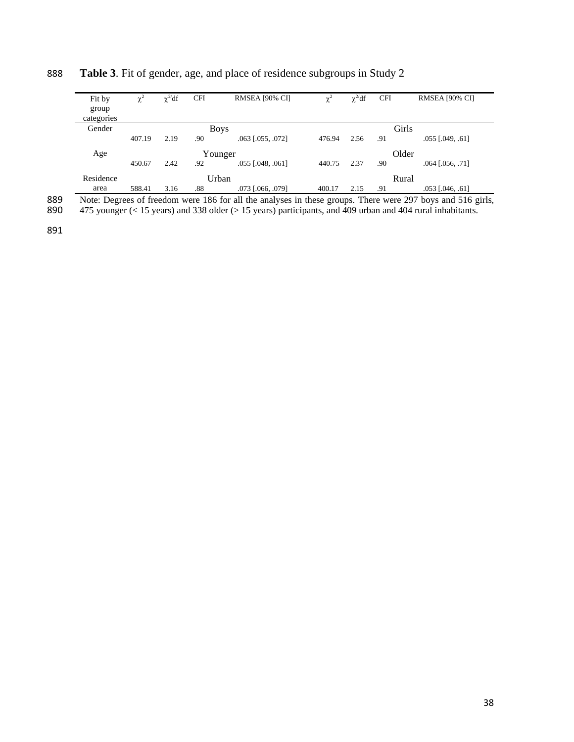| Fit by<br>group | $\chi^2$ | $\chi^2$ df | <b>CFI</b> | RMSEA [90% CI]             | $\chi^2$ | $\chi^2 df$ | <b>CFI</b> | RMSEA [90% CI]         |
|-----------------|----------|-------------|------------|----------------------------|----------|-------------|------------|------------------------|
| categories      |          |             |            |                            |          |             |            |                        |
| Gender          |          |             |            | <b>Boys</b>                |          |             |            | Girls                  |
|                 | 407.19   | 2.19        | .90        | $.063$ [.055, .072]        | 476.94   | 2.56        | .91        | $.055$ [ $.049, .61$ ] |
| Age             |          |             |            | Younger                    |          |             |            | Older                  |
|                 | 450.67   | 2.42        | .92        | $.055$ [ $.048$ , $.061$ ] | 440.75   | 2.37        | .90        | $.064$ $[.056, .71]$   |
| Residence       |          |             |            | Urban                      |          |             |            | Rural                  |
| area            | 588.41   | 3.16        | .88        | .073 [.066, .079]          | 400.17   | 2.15        | .91        | $.053$ [ $.046, .61$ ] |

## 888 **Table 3**. Fit of gender, age, and place of residence subgroups in Study 2

889 Note: Degrees of freedom were 186 for all the analyses in these groups. There were 297 boys and 516 girls, 890 475 younger (< 15 years) and 338 older (> 15 years) participants, and 409 urban and 404 rural inhabitants.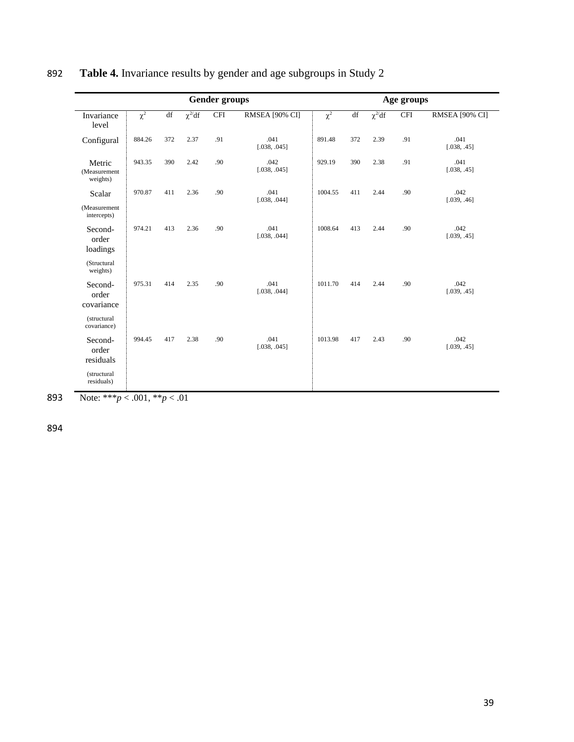|                                    |          |     |               | <b>Gender groups</b> |                      | Age groups          |                        |               |            |                           |
|------------------------------------|----------|-----|---------------|----------------------|----------------------|---------------------|------------------------|---------------|------------|---------------------------|
| Invariance<br>level                | $\chi^2$ | df  | $\chi^{2/d}f$ | <b>CFI</b>           | RMSEA [90% CI]       | $\overline{\chi^2}$ | $\mathrm{d}\mathrm{f}$ | $\chi^{2/d}f$ | <b>CFI</b> | RMSEA <sup>[90% CI]</sup> |
| Configural                         | 884.26   | 372 | 2.37          | .91                  | .041<br>[.038, .045] | 891.48              | 372                    | 2.39          | .91        | .041<br>[.038, .45]       |
| Metric<br>(Measurement<br>weights) | 943.35   | 390 | 2.42          | .90                  | .042<br>[.038, .045] | 929.19              | 390                    | 2.38          | .91        | .041<br>[.038, .45]       |
| Scalar                             | 970.87   | 411 | 2.36          | .90                  | .041<br>[.038, .044] | 1004.55             | 411                    | 2.44          | .90        | .042<br>[.039, .46]       |
| (Measurement<br>intercepts)        |          |     |               |                      |                      |                     |                        |               |            |                           |
| Second-<br>order<br>loadings       | 974.21   | 413 | 2.36          | .90                  | .041<br>[.038, .044] | 1008.64             | 413                    | 2.44          | .90        | .042<br>[.039, .45]       |
| (Structural<br>weights)            |          |     |               |                      |                      |                     |                        |               |            |                           |
| Second-<br>order<br>covariance     | 975.31   | 414 | 2.35          | .90                  | .041<br>[.038, .044] | 1011.70             | 414                    | 2.44          | .90        | .042<br>[.039, .45]       |
| (structural<br>covariance)         |          |     |               |                      |                      |                     |                        |               |            |                           |
| Second-<br>order<br>residuals      | 994.45   | 417 | 2.38          | .90                  | .041<br>[.038, .045] | 1013.98             | 417                    | 2.43          | .90        | .042<br>[.039, .45]       |
| (structural<br>residuals)          |          |     |               |                      |                      |                     |                        |               |            |                           |

# 892 **Table 4.** Invariance results by gender and age subgroups in Study 2

893 Note: \*\*\**p* < .001, \*\**p* < .01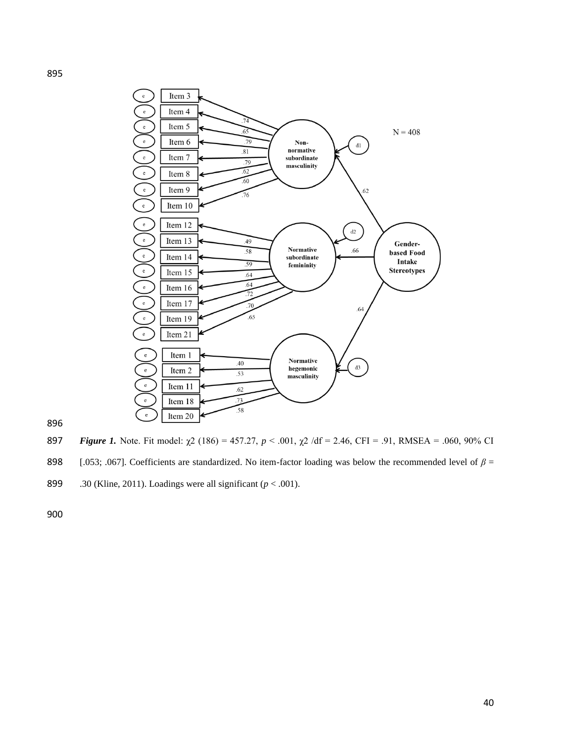

897 *Figure 1*. Note. Fit model:  $\chi$ 2 (186) = 457.27, *p* < .001,  $\chi$ 2 /df = 2.46, CFI = .91, RMSEA = .060, 90% CI [.053; .067]. Coefficients are standardized. No item-factor loading was below the recommended level of *β* =

.30 (Kline, 2011). Loadings were all significant (*p* < .001).